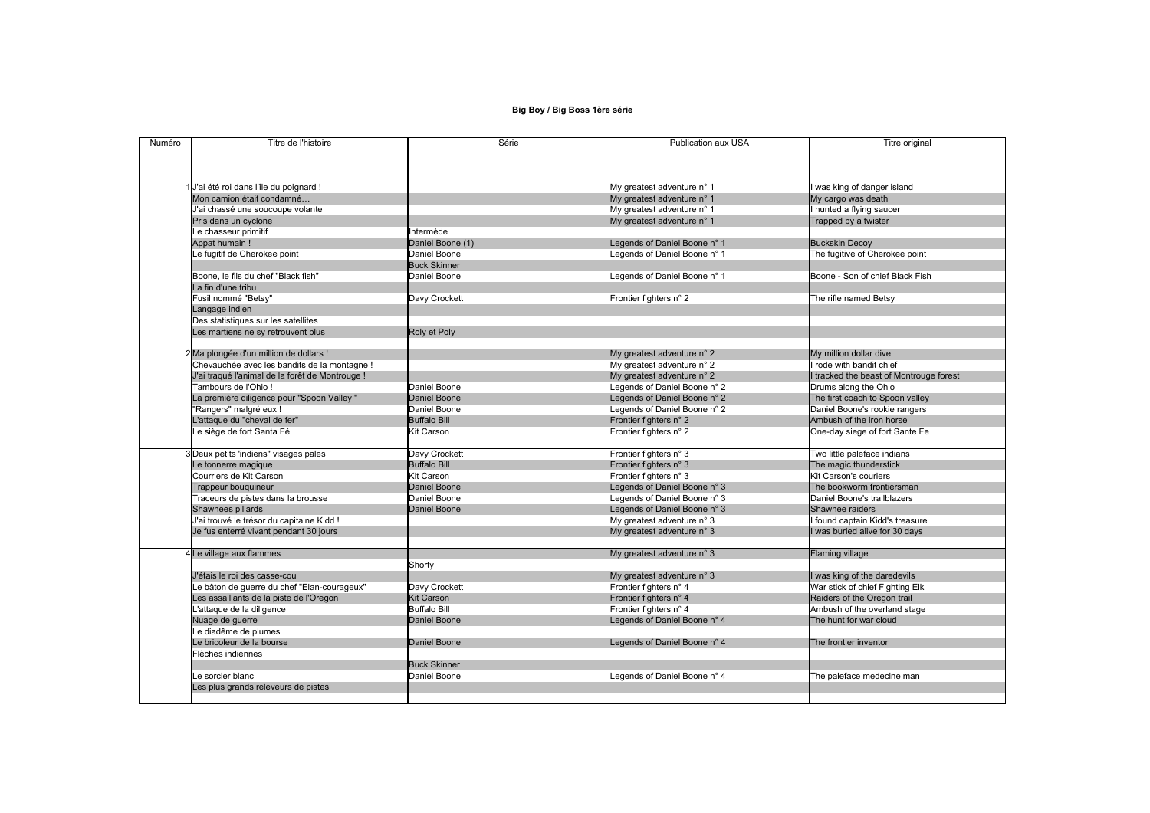## **Big Boy / Big Boss 1ère série**

| Numéro | Titre de l'histoire                             | Série               | Publication aux USA          | Titre original                  |
|--------|-------------------------------------------------|---------------------|------------------------------|---------------------------------|
|        |                                                 |                     |                              |                                 |
|        | J'ai été roi dans l'île du poignard !           |                     | My greatest adventure n° 1   | was king of danger island       |
|        | Mon camion était condamné                       |                     | My greatest adventure n° 1   | My cargo was death              |
|        | J'ai chassé une soucoupe volante                |                     | My greatest adventure n° 1   | I hunted a flying saucer        |
|        | Pris dans un cyclone                            |                     | My greatest adventure n° 1   | Trapped by a twister            |
|        | Le chasseur primitif                            | Intermède           |                              |                                 |
|        | Appat humain!                                   | Daniel Boone (1)    | Legends of Daniel Boone n° 1 | <b>Buckskin Decoy</b>           |
|        | e fugitif de Cherokee point                     | Daniel Boone        | Legends of Daniel Boone n° 1 | The fugitive of Cherokee point  |
|        |                                                 | <b>Buck Skinner</b> |                              |                                 |
|        | Boone, le fils du chef "Black fish"             | Daniel Boone        | Legends of Daniel Boone n° 1 | Boone - Son of chief Black Fish |
|        | La fin d'une tribu                              |                     |                              |                                 |
|        | Fusil nommé "Betsy"                             | Davy Crockett       | Frontier fighters n° 2       | The rifle named Betsy           |
|        | Langage indien                                  |                     |                              |                                 |
|        | Des statistiques sur les satellites             |                     |                              |                                 |
|        | es martiens ne sy retrouvent plus               | Roly et Poly        |                              |                                 |
|        |                                                 |                     |                              |                                 |
|        | 2Ma plongée d'un million de dollars !           |                     | My greatest adventure n° 2   | My million dollar dive          |
|        | Chevauchée avec les bandits de la montagne !    |                     | My greatest adventure n° 2   | rode with bandit chief          |
|        | J'ai traqué l'animal de la forêt de Montrouge ! |                     | My greatest adventure n° 2   | I tracked the beast of Montroug |
|        | Tambours de l'Ohio!                             | Daniel Boone        | Legends of Daniel Boone n° 2 | Drums along the Ohio            |
|        | La première diligence pour "Spoon Valley "      | Daniel Boone        | Legends of Daniel Boone n° 2 | The first coach to Spoon valley |
|        | "Rangers" malgré eux !                          | Daniel Boone        | Legends of Daniel Boone n° 2 | Daniel Boone's rookie rangers   |
|        | "attaque du "cheval de fer"                     | <b>Buffalo Bill</b> | Frontier fighters n° 2       | Ambush of the iron horse        |
|        | e siège de fort Santa Fé                        | <b>Kit Carson</b>   | Frontier fighters n° 2       | One-day siege of fort Sante Fe  |
|        |                                                 |                     |                              |                                 |
|        | 3Deux petits 'indiens" visages pales            | Davy Crockett       | Frontier fighters n° 3       | Two little paleface indians     |
|        | Le tonnerre magique                             | <b>Buffalo Bill</b> | Frontier fighters n° 3       | The magic thunderstick          |
|        | Courriers de Kit Carson                         | <b>Kit Carson</b>   | Frontier fighters n° 3       | Kit Carson's couriers           |
|        | Trappeur bouquineur                             | Daniel Boone        | egends of Daniel Boone n° 3  | The bookworm frontiersman       |
|        | Traceurs de pistes dans la brousse              | Daniel Boone        | Legends of Daniel Boone n° 3 | Daniel Boone's trailblazers     |
|        | Shawnees pillards                               | Daniel Boone        | Legends of Daniel Boone n° 3 | <b>Shawnee raiders</b>          |
|        | J'ai trouvé le trésor du capitaine Kidd !       |                     | My greatest adventure n° 3   | I found captain Kidd's treasure |
|        | Je fus enterré vivant pendant 30 jours          |                     | My greatest adventure n° 3   | I was buried alive for 30 days  |
|        | 4 Le village aux flammes                        |                     | My greatest adventure n° 3   | <b>Flaming village</b>          |
|        |                                                 | Shorty              |                              |                                 |
|        | J'étais le roi des casse-cou                    |                     | My greatest adventure n° 3   | I was king of the daredevils    |
|        | e bâton de guerre du chef "Elan-courageux"      | Davy Crockett       | Frontier fighters n° 4       | War stick of chief Fighting Elk |
|        | Les assaillants de la piste de l'Oregon         | <b>Kit Carson</b>   | Frontier fighters n° 4       | Raiders of the Oregon trail     |
|        | 'attaque de la diligence                        | <b>Buffalo Bill</b> | Frontier fighters n° 4       | Ambush of the overland stage    |
|        | Nuage de guerre                                 | Daniel Boone        | Legends of Daniel Boone n° 4 | The hunt for war cloud          |
|        | Le diadême de plumes                            |                     |                              |                                 |
|        | Le bricoleur de la bourse                       | Daniel Boone        | Legends of Daniel Boone n° 4 | The frontier inventor           |
|        | Flèches indiennes                               |                     |                              |                                 |
|        |                                                 | <b>Buck Skinner</b> |                              |                                 |
|        | e sorcier blanc                                 | Daniel Boone        | Legends of Daniel Boone n° 4 | The paleface medecine man       |
|        | Les plus grands releveurs de pistes             |                     |                              |                                 |
|        |                                                 |                     |                              |                                 |

| Titre original |
|----------------|

an emer<br>east of Montrouge forest<br>ne Ohio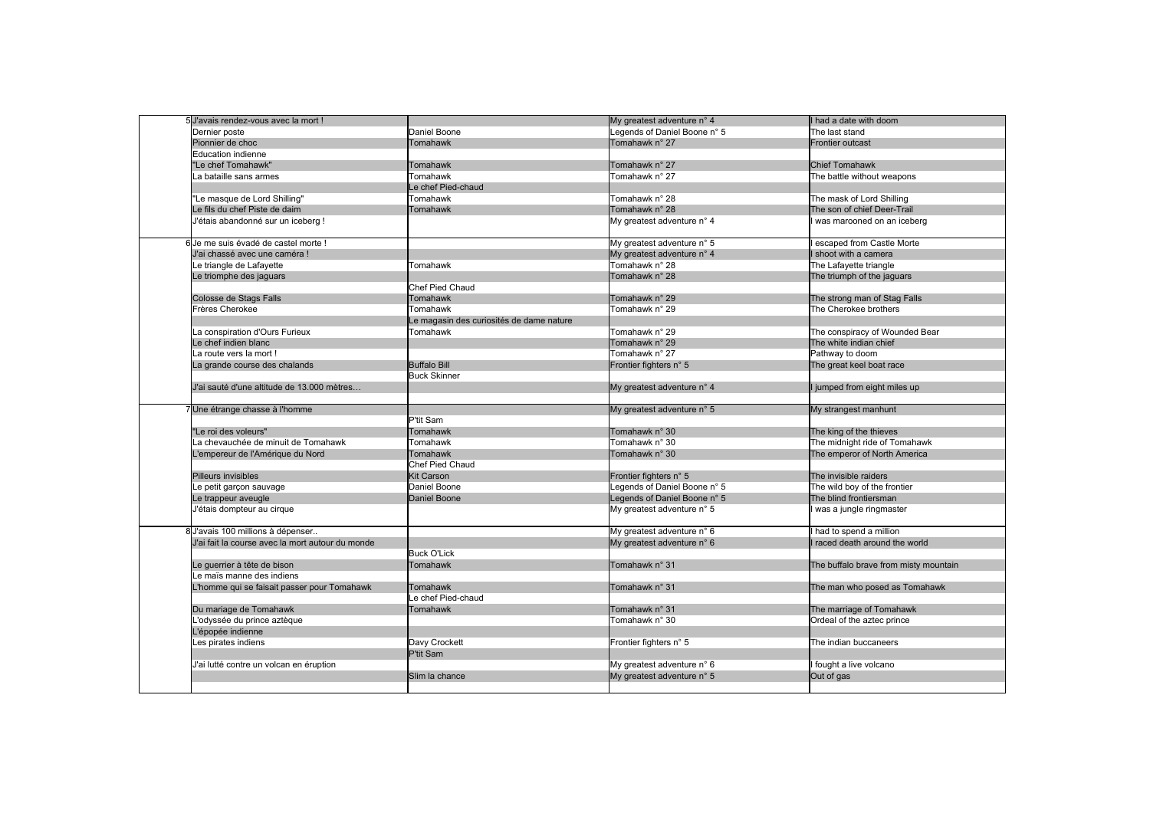| 5 J'avais rendez-vous avec la mort !             |                                          | My greatest adventure n° 4   | I had a date with doom                |
|--------------------------------------------------|------------------------------------------|------------------------------|---------------------------------------|
| Dernier poste                                    | Daniel Boone                             | Legends of Daniel Boone n° 5 | The last stand                        |
| Pionnier de choc                                 | Tomahawk                                 | Tomahawk n° 27               | <b>Frontier outcast</b>               |
| Education indienne                               |                                          |                              |                                       |
| 'Le chef Tomahawk"                               | <b>Tomahawk</b>                          | Tomahawk n° 27               | <b>Chief Tomahawk</b>                 |
| a bataille sans armes                            | Tomahawk                                 | Tomahawk n° 27               | The battle without weapons            |
|                                                  | Le chef Pied-chaud                       |                              |                                       |
| 'Le masque de Lord Shilling"                     | Tomahawk                                 | Tomahawk n° 28               | The mask of Lord Shilling             |
| Le fils du chef Piste de daim                    | Tomahawk                                 | Tomahawk n° 28               | The son of chief Deer-Trail           |
| J'étais abandonné sur un iceberg !               |                                          | My greatest adventure n° 4   | was marooned on an iceberg            |
|                                                  |                                          |                              |                                       |
| 6 Je me suis évadé de castel morte !             |                                          | My greatest adventure n° 5   | escaped from Castle Morte             |
| J'ai chassé avec une caméra !                    |                                          | My greatest adventure n° 4   | I shoot with a camera                 |
| Le triangle de Lafayette                         | <b>Tomahawk</b>                          | Tomahawk n° 28               | The Lafayette triangle                |
| Le triomphe des jaguars                          |                                          | Tomahawk n° 28               | The triumph of the jaguars            |
|                                                  | <b>Chef Pied Chaud</b>                   |                              |                                       |
| Colosse de Stags Falls                           | Tomahawk                                 | Tomahawk n° 29               | The strong man of Stag Falls          |
| Frères Cherokee                                  | Tomahawk                                 | Tomahawk n° 29               | The Cherokee brothers                 |
|                                                  | Le magasin des curiosités de dame nature |                              |                                       |
| La conspiration d'Ours Furieux                   | Tomahawk                                 | Tomahawk n° 29               | The conspiracy of Wounded Bear        |
| Le chef indien blanc                             |                                          | Tomahawk n° 29               | The white indian chief                |
| La route vers la mort!                           |                                          | Tomahawk n° 27               | Pathway to doom                       |
| La grande course des chalands                    | <b>Buffalo Bill</b>                      | Frontier fighters n° 5       | The great keel boat race              |
|                                                  | <b>Buck Skinner</b>                      |                              |                                       |
| J'ai sauté d'une altitude de 13.000 mètres       |                                          | My greatest adventure n° 4   | I jumped from eight miles up          |
|                                                  |                                          |                              |                                       |
| Une étrange chasse à l'homme                     |                                          | My greatest adventure n° 5   | My strangest manhunt                  |
|                                                  | P'tit Sam                                |                              |                                       |
|                                                  |                                          |                              |                                       |
| 'Le roi des voleurs"                             | Tomahawk                                 | Tomahawk n° 30               | The king of the thieves               |
| a chevauchée de minuit de Tomahawk               | Tomahawk                                 | Tomahawk n° 30               | The midnight ride of Tomahawk         |
| 'empereur de l'Amérique du Nord                  | <b>Tomahawk</b>                          | Tomahawk n° 30               | The emperor of North America          |
|                                                  | Chef Pied Chaud                          |                              |                                       |
| Pilleurs invisibles                              | <b>Kit Carson</b>                        | Frontier fighters n° 5       | The invisible raiders                 |
| Le petit garçon sauvage                          | Daniel Boone                             | Legends of Daniel Boone n° 5 | The wild boy of the frontier          |
| Le trappeur aveugle                              | Daniel Boone                             | Legends of Daniel Boone n° 5 | The blind frontiersman                |
| J'étais dompteur au cirque                       |                                          | My greatest adventure n° 5   | was a jungle ringmaster               |
|                                                  |                                          |                              |                                       |
| 8 J'avais 100 millions à dépenser                |                                          | My greatest adventure n° 6   | I had to spend a million              |
| J'ai fait la course avec la mort autour du monde |                                          | My greatest adventure n° 6   | I raced death around the world        |
|                                                  | <b>Buck O'Lick</b>                       |                              |                                       |
| Le guerrier à tête de bison                      | Tomahawk                                 | Tomahawk n° 31               | The buffalo brave from misty mountain |
| e maïs manne des indiens                         |                                          |                              |                                       |
| homme qui se faisait passer pour Tomahawk        | Tomahawk                                 | Tomahawk n° 31               | The man who posed as Tomahawk         |
|                                                  | Le chef Pied-chaud                       |                              |                                       |
| Du mariage de Tomahawk                           | Tomahawk                                 | Tomahawk n° 31               | The marriage of Tomahawk              |
| 'odyssée du prince aztèque                       |                                          | Tomahawk n° 30               | Ordeal of the aztec prince            |
| 'épopée indienne                                 |                                          |                              |                                       |
| es pirates indiens                               | Davy Crockett                            | Frontier fighters n° 5       | The indian buccaneers                 |
|                                                  | P'tit Sam                                |                              |                                       |
| J'ai lutté contre un volcan en éruption          |                                          | My greatest adventure n° 6   | fought a live volcano                 |
|                                                  | Slim la chance                           | My greatest adventure n° 5   | Out of gas                            |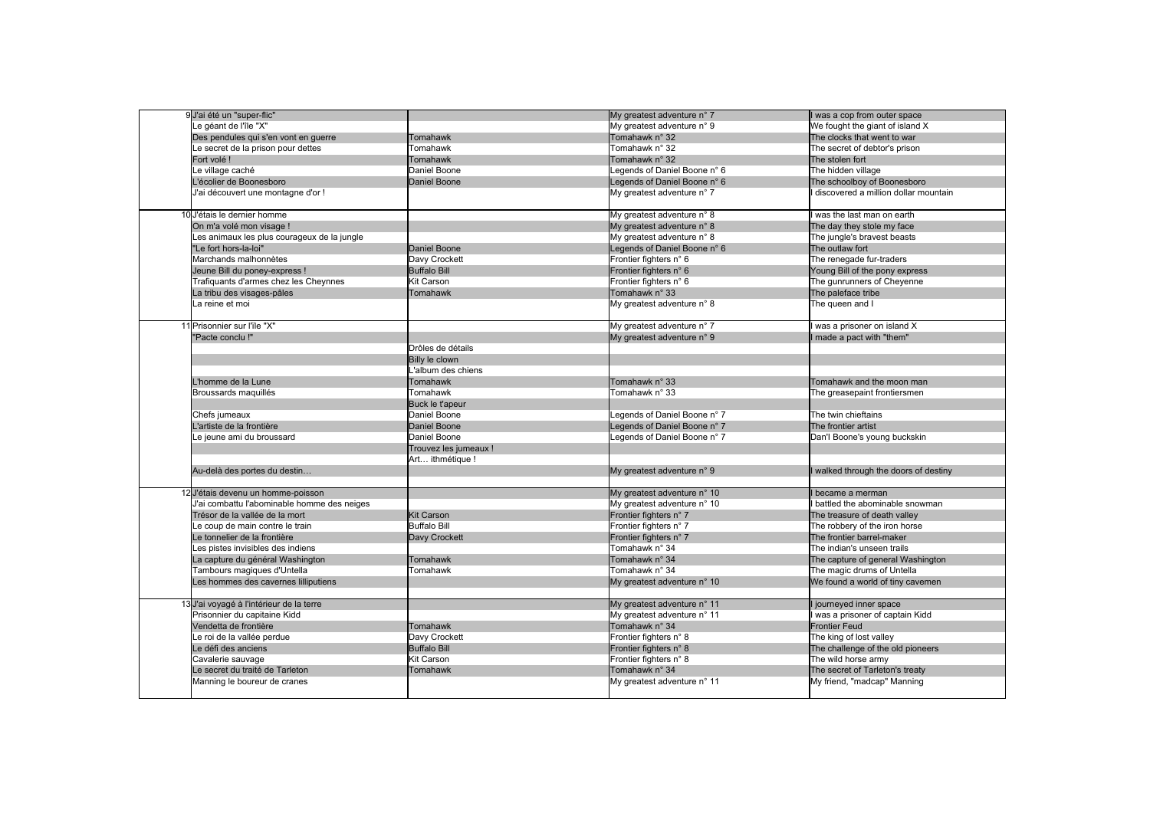| 9 J'ai été un "super-flic"                  |                       | My greatest adventure n° 7   | I was a cop from outer space          |
|---------------------------------------------|-----------------------|------------------------------|---------------------------------------|
| Le géant de l'île "X"                       |                       | My greatest adventure n° 9   | We fought the giant of island X       |
| Des pendules qui s'en vont en guerre        | Tomahawk              | Tomahawk n° 32               | The clocks that went to war           |
| Le secret de la prison pour dettes          | Tomahawk              | Tomahawk n° 32               | The secret of debtor's prison         |
| Fort volé!                                  | Tomahawk              | Tomahawk n° 32               | The stolen fort                       |
| Le village caché                            | Daniel Boone          | Legends of Daniel Boone n° 6 | The hidden village                    |
| L'écolier de Boonesboro                     | Daniel Boone          | Legends of Daniel Boone n° 6 | The schoolboy of Boonesboro           |
| J'ai découvert une montagne d'or !          |                       | My greatest adventure n° 7   | discovered a million dollar mountain  |
| 10 J'étais le dernier homme                 |                       | My greatest adventure n° 8   | was the last man on earth             |
| On m'a volé mon visage !                    |                       | My greatest adventure n° 8   | The day they stole my face            |
| Les animaux les plus courageux de la jungle |                       | My greatest adventure n° 8   | The jungle's bravest beasts           |
| "Le fort hors-la-loi"                       | Daniel Boone          | Legends of Daniel Boone n° 6 | The outlaw fort                       |
| Marchands malhonnètes                       | Davy Crockett         | Frontier fighters n° 6       | The renegade fur-traders              |
| Jeune Bill du poney-express !               | <b>Buffalo Bill</b>   | Frontier fighters n° 6       | Young Bill of the pony express        |
| Trafiquants d'armes chez les Cheynnes       | <b>Kit Carson</b>     | Frontier fighters n° 6       | The gunrunners of Cheyenne            |
|                                             |                       | Tomahawk n° 33               |                                       |
| La tribu des visages-pâles                  | Tomahawk              |                              | The paleface tribe                    |
| La reine et moi                             |                       | My greatest adventure n° 8   | The queen and I                       |
| 11 Prisonnier sur l'île "X"                 |                       | My greatest adventure n° 7   | was a prisoner on island X            |
| "Pacte conclu!"                             |                       | My greatest adventure n° 9   | I made a pact with "them"             |
|                                             | Drôles de détails     |                              |                                       |
|                                             | Billy le clown        |                              |                                       |
|                                             | L'album des chiens    |                              |                                       |
| L'homme de la Lune                          | Tomahawk              | Tomahawk n° 33               | Tomahawk and the moon man             |
| Broussards maquillés                        | Tomahawk              | Tomahawk n° 33               | The greasepaint frontiersmen          |
|                                             | Buck le t'apeur       |                              |                                       |
| Chefs jumeaux                               | Daniel Boone          | egends of Daniel Boone n° 7  | The twin chieftains                   |
| L'artiste de la frontière                   | Daniel Boone          | Legends of Daniel Boone n° 7 | The frontier artist                   |
|                                             | Daniel Boone          |                              |                                       |
| Le jeune ami du broussard                   |                       | egends of Daniel Boone n° 7  | Dan'l Boone's young buckskin          |
|                                             | Trouvez les jumeaux ! |                              |                                       |
|                                             | Art ithmétique !      |                              |                                       |
| Au-delà des portes du destin                |                       | My greatest adventure n° 9   | I walked through the doors of destiny |
| 12 J'étais devenu un homme-poisson          |                       | My greatest adventure n° 10  | became a merman                       |
| J'ai combattu l'abominable homme des neiges |                       | My greatest adventure n° 10  | battled the abominable snowman        |
| Trésor de la vallée de la mort              | <b>Kit Carson</b>     | Frontier fighters n° 7       | The treasure of death valley          |
| Le coup de main contre le train             | <b>Buffalo Bill</b>   | Frontier fighters n° 7       | The robbery of the iron horse         |
| Le tonnelier de la frontière                | Davy Crockett         | Frontier fighters n° 7       | The frontier barrel-maker             |
| Les pistes invisibles des indiens           |                       | Tomahawk n° 34               | The indian's unseen trails            |
| La capture du général Washington            | Tomahawk              | Tomahawk n° 34               | The capture of general Washington     |
| Tambours magiques d'Untella                 | Tomahawk              | Tomahawk n° 34               | The magic drums of Untella            |
| Les hommes des cavernes lilliputiens        |                       | My greatest adventure n° 10  | We found a world of tiny cavemen      |
|                                             |                       |                              |                                       |
| 13 J'ai voyagé à l'intérieur de la terre    |                       | My greatest adventure n° 11  | I journeyed inner space               |
| Prisonnier du capitaine Kidd                |                       | My greatest adventure n° 11  | was a prisoner of captain Kidd        |
| Vendetta de frontière                       | Tomahawk              | Tomahawk n° 34               | <b>Frontier Feud</b>                  |
| Le roi de la vallée perdue                  | Davy Crockett         | Frontier fighters n° 8       | The king of lost valley               |
| Le défi des anciens                         | <b>Buffalo Bill</b>   | Frontier fighters n° 8       | The challenge of the old pioneers     |
| Cavalerie sauvage                           | <b>Kit Carson</b>     | Frontier fighters n° 8       | The wild horse army                   |
| Le secret du traité de Tarleton             | Tomahawk              | Tomahawk n° 34               | The secret of Tarleton's treaty       |
| Manning le boureur de cranes                |                       | My greatest adventure n° 11  | My friend, "madcap" Manning           |
|                                             |                       |                              |                                       |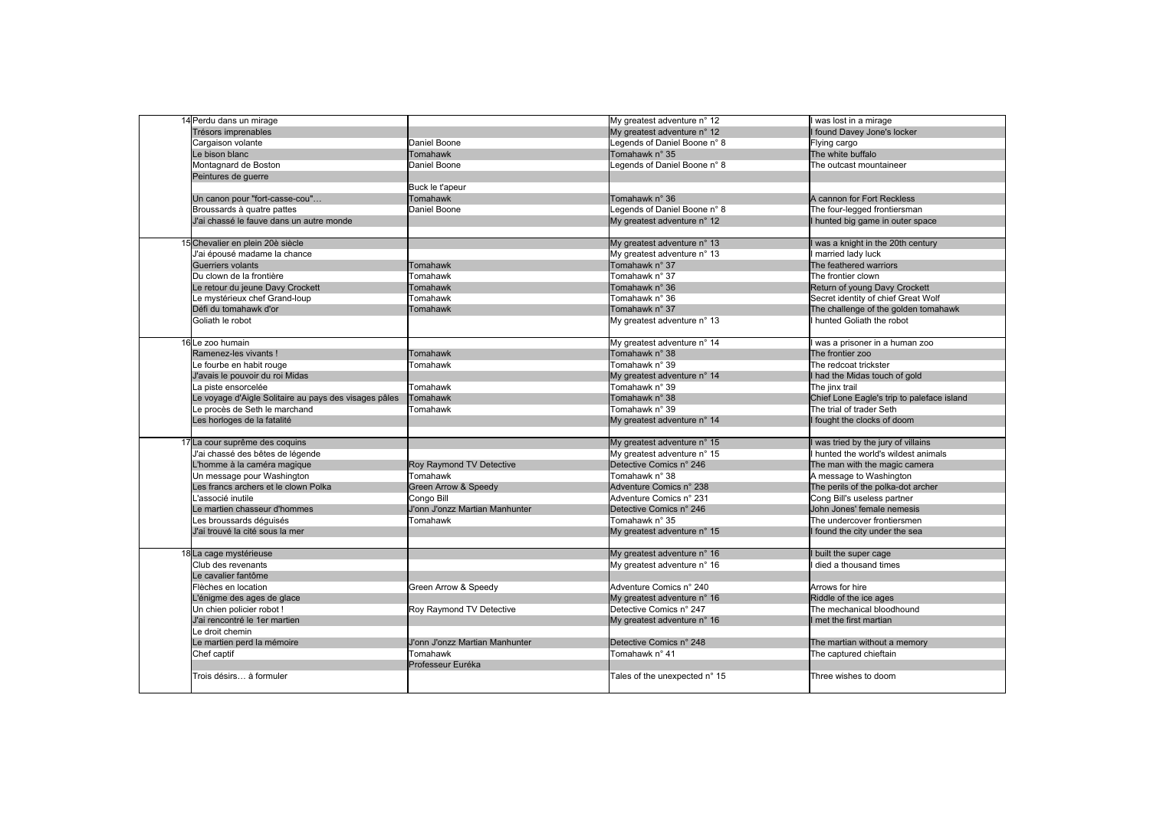| 14 Perdu dans un mirage                               |                                | My greatest adventure n° 12   | I was lost in a mirage                     |
|-------------------------------------------------------|--------------------------------|-------------------------------|--------------------------------------------|
| Trésors imprenables                                   |                                | My greatest adventure n° 12   | I found Davey Jone's locker                |
| Cargaison volante                                     | Daniel Boone                   | Legends of Daniel Boone n° 8  | Flying cargo                               |
| Le bison blanc                                        | <b>Tomahawk</b>                | Tomahawk n° 35                | The white buffalo                          |
| Montagnard de Boston                                  | Daniel Boone                   | Legends of Daniel Boone n° 8  | The outcast mountaineer                    |
| Peintures de guerre                                   |                                |                               |                                            |
|                                                       | Buck le t'apeur                |                               |                                            |
| Un canon pour "fort-casse-cou"                        | Tomahawk                       | Tomahawk n° 36                | A cannon for Fort Reckless                 |
| Broussards à quatre pattes                            | Daniel Boone                   | Legends of Daniel Boone n° 8  | The four-legged frontiersman               |
| J'ai chassé le fauve dans un autre monde              |                                | My greatest adventure n° 12   | I hunted big game in outer space           |
|                                                       |                                |                               |                                            |
| 15 Chevalier en plein 20è siècle                      |                                | My greatest adventure n° 13   | was a knight in the 20th century           |
| J'ai épousé madame la chance                          |                                | My greatest adventure n° 13   | married lady luck                          |
| Guerriers volants                                     | Tomahawk                       | Tomahawk n° 37                | The feathered warriors                     |
| Du clown de la frontière                              | Tomahawk                       | Tomahawk n° 37                | The frontier clown                         |
| Le retour du jeune Davy Crockett                      | Tomahawk                       | Tomahawk n° 36                | Return of young Davy Crockett              |
| Le mystérieux chef Grand-loup                         | Tomahawk                       | Tomahawk n° 36                | Secret identity of chief Great Wolf        |
| Défi du tomahawk d'or                                 | Tomahawk                       | Tomahawk n° 37                | The challenge of the golden tomahawk       |
| Goliath le robot                                      |                                | My greatest adventure n° 13   | I hunted Goliath the robot                 |
|                                                       |                                |                               |                                            |
| 16Le zoo humain                                       |                                | My greatest adventure n° 14   | was a prisoner in a human zoo              |
| Ramenez-les vivants !                                 | Tomahawk                       | Tomahawk n° 38                | The frontier zoo                           |
| Le fourbe en habit rouge                              | Tomahawk                       | Tomahawk n° 39                | The redcoat trickster                      |
| J'avais le pouvoir du roi Midas                       |                                | My greatest adventure n° 14   | I had the Midas touch of gold              |
| La piste ensorcelée                                   | Tomahawk                       | Tomahawk n° 39                | The jinx trail                             |
|                                                       | <b>Tomahawk</b>                | Tomahawk n° 38                |                                            |
| Le voyage d'Aigle Solitaire au pays des visages pâles |                                |                               | Chief Lone Eagle's trip to paleface island |
| Le procès de Seth le marchand                         | Tomahawk                       | Tomahawk n° 39                | The trial of trader Seth                   |
| Les horloges de la fatalité                           |                                | My greatest adventure n° 14   | I fought the clocks of doom                |
| 17 La cour suprême des coquins                        |                                | My greatest adventure n° 15   | I was tried by the jury of villains        |
| J'ai chassé des bêtes de légende                      |                                | My greatest adventure n° 15   | I hunted the world's wildest animals       |
| L'homme à la caméra magique                           |                                | Detective Comics n° 246       |                                            |
|                                                       | Roy Raymond TV Detective       |                               | The man with the magic camera              |
| Un message pour Washington                            | Tomahawk                       | Tomahawk n° 38                | A message to Washington                    |
| Les francs archers et le clown Polka                  | Green Arrow & Speedy           | Adventure Comics n° 238       | The perils of the polka-dot archer         |
| associé inutile                                       | Congo Bill                     | Adventure Comics n° 231       | Cong Bill's useless partner                |
| Le martien chasseur d'hommes                          | J'onn J'onzz Martian Manhunter | Detective Comics n° 246       | John Jones' female nemesis                 |
| Les broussards déguisés                               | Tomahawk                       | Tomahawk n° 35                | The undercover frontiersmen                |
| J'ai trouvé la cité sous la mer                       |                                | My greatest adventure n° 15   | I found the city under the sea             |
|                                                       |                                |                               |                                            |
| 18 La cage mystérieuse                                |                                | My greatest adventure n° 16   | I built the super cage                     |
| Club des revenants                                    |                                | My greatest adventure n° 16   | I died a thousand times                    |
| Le cavalier fantôme                                   |                                |                               |                                            |
| Flèches en location                                   | Green Arrow & Speedy           | Adventure Comics n° 240       | Arrows for hire                            |
| L'énigme des ages de glace                            |                                | My greatest adventure n° 16   | Riddle of the ice ages                     |
| Un chien policier robot !                             | Roy Raymond TV Detective       | Detective Comics n° 247       | The mechanical bloodhound                  |
| J'ai rencontré le 1er martien                         |                                | My greatest adventure n° 16   | I met the first martian                    |
| Le droit chemin                                       |                                |                               |                                            |
| Le martien perd la mémoire                            | J'onn J'onzz Martian Manhunter | Detective Comics n° 248       | The martian without a memory               |
| Chef captif                                           | Tomahawk                       | Tomahawk n° 41                | The captured chieftain                     |
|                                                       | Professeur Euréka              |                               |                                            |
| Trois désirs à formuler                               |                                | Tales of the unexpected n° 15 | Three wishes to doom                       |
|                                                       |                                |                               |                                            |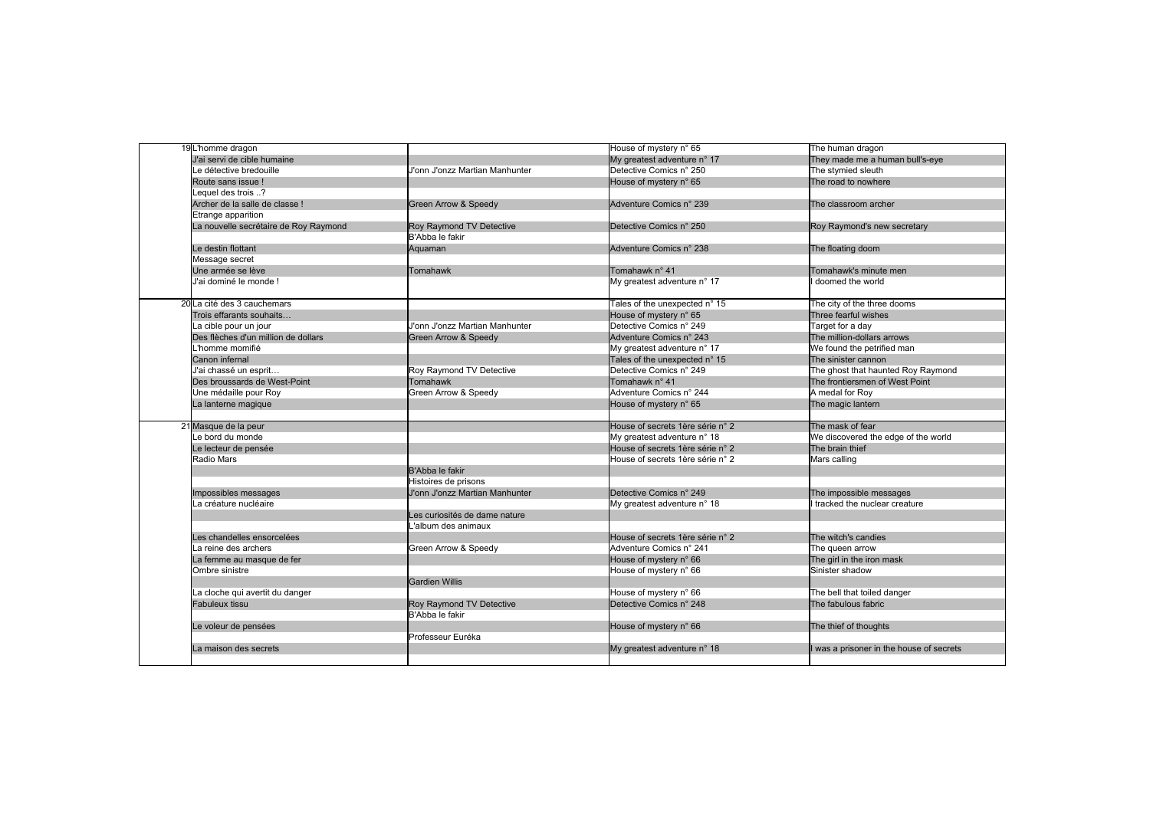| 19 L'homme dragon                     |                                | House of mystery n° 65           | The human dragon                         |
|---------------------------------------|--------------------------------|----------------------------------|------------------------------------------|
| J'ai servi de cible humaine           |                                | My greatest adventure n° 17      | They made me a human bull's-eye          |
| Le détective bredouille               | J'onn J'onzz Martian Manhunter | Detective Comics n° 250          | The stymied sleuth                       |
| Route sans issue !                    |                                | House of mystery n° 65           | The road to nowhere                      |
| .equel des trois?                     |                                |                                  |                                          |
| Archer de la salle de classe !        | Green Arrow & Speedy           | Adventure Comics n° 239          | The classroom archer                     |
| Etrange apparition                    |                                |                                  |                                          |
| La nouvelle secrétaire de Roy Raymond | Roy Raymond TV Detective       | Detective Comics n° 250          | Roy Raymond's new secretary              |
|                                       | B'Abba le fakir                |                                  |                                          |
| Le destin flottant                    | Aquaman                        | Adventure Comics n° 238          | The floating doom                        |
| Message secret                        |                                |                                  |                                          |
| Une armée se lève                     | Tomahawk                       | Tomahawk n° 41                   | Tomahawk's minute men                    |
| J'ai dominé le monde!                 |                                | My greatest adventure n° 17      | I doomed the world                       |
|                                       |                                |                                  |                                          |
| 20 La cité des 3 cauchemars           |                                | Tales of the unexpected n° 15    | The city of the three dooms              |
| Trois effarants souhaits              |                                | House of mystery n° 65           | Three fearful wishes                     |
| a cible pour un jour                  | J'onn J'onzz Martian Manhunter | Detective Comics n° 249          | Target for a day                         |
| Des flèches d'un million de dollars   | Green Arrow & Speedy           | Adventure Comics n° 243          | The million-dollars arrows               |
| homme momifié                         |                                | My greatest adventure n° 17      | We found the petrified man               |
| Canon infernal                        |                                | Tales of the unexpected n° 15    | The sinister cannon                      |
| J'ai chassé un esprit                 | Roy Raymond TV Detective       | Detective Comics n° 249          | The ghost that haunted Roy Raymond       |
| Des broussards de West-Point          | Tomahawk                       | Tomahawk n° 41                   | The frontiersmen of West Point           |
| Une médaille pour Roy                 | Green Arrow & Speedy           | Adventure Comics n° 244          | A medal for Roy                          |
| La lanterne magique                   |                                | House of mystery n° 65           | The magic lantern                        |
|                                       |                                |                                  |                                          |
| 21 Masque de la peur                  |                                | House of secrets 1ère série n° 2 | The mask of fear                         |
| Le bord du monde                      |                                | My greatest adventure n° 18      | We discovered the edge of the world      |
| Le lecteur de pensée                  |                                | House of secrets 1ère série n° 2 | The brain thief                          |
| Radio Mars                            |                                | House of secrets 1ère série n° 2 | Mars calling                             |
|                                       | B'Abba le fakir                |                                  |                                          |
|                                       | Histoires de prisons           |                                  |                                          |
| Impossibles messages                  | J'onn J'onzz Martian Manhunter | Detective Comics n° 249          | The impossible messages                  |
| a créature nucléaire                  |                                | My greatest adventure n° 18      | tracked the nuclear creature             |
|                                       | Les curiosités de dame nature  |                                  |                                          |
|                                       | L'album des animaux            |                                  |                                          |
| Les chandelles ensorcelées            |                                | House of secrets 1ère série n° 2 | The witch's candies                      |
| a reine des archers                   | Green Arrow & Speedy           | Adventure Comics n° 241          | The queen arrow                          |
| La femme au masque de fer             |                                | House of mystery n° 66           | The girl in the iron mask                |
| Ombre sinistre                        |                                | House of mystery n° 66           | Sinister shadow                          |
|                                       | <b>Gardien Willis</b>          |                                  |                                          |
| La cloche qui avertit du danger       |                                | House of mystery n° 66           | The bell that toiled danger              |
| Fabuleux tissu                        | Roy Raymond TV Detective       | Detective Comics n° 248          | The fabulous fabric                      |
|                                       | B'Abba le fakir                |                                  |                                          |
| Le voleur de pensées                  |                                | House of mystery n° 66           | The thief of thoughts                    |
|                                       | Professeur Euréka              |                                  |                                          |
| La maison des secrets                 |                                | My greatest adventure n° 18      | I was a prisoner in the house of secrets |
|                                       |                                |                                  |                                          |
|                                       |                                |                                  |                                          |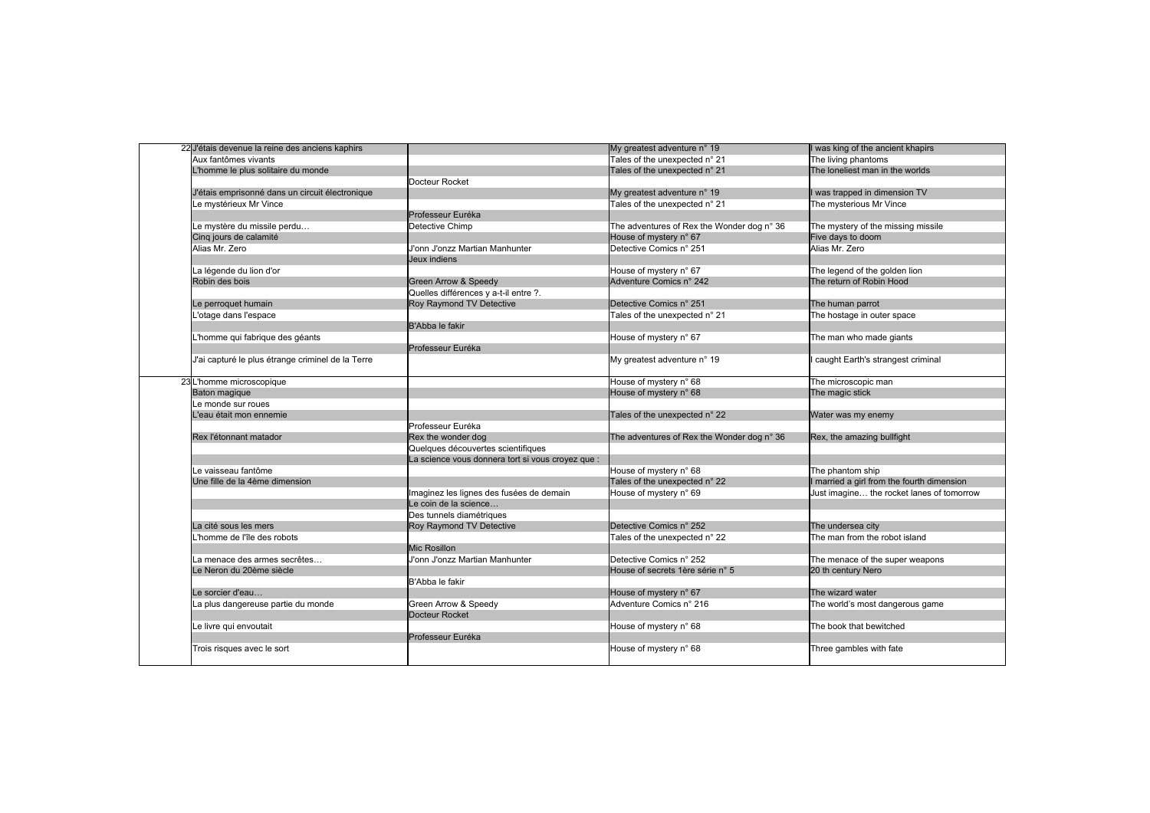| 22 J'étais devenue la reine des anciens kaphirs   |                                                   | My greatest adventure n° 19                | I was king of the ancient khapirs          |
|---------------------------------------------------|---------------------------------------------------|--------------------------------------------|--------------------------------------------|
| Aux fantômes vivants                              |                                                   | Tales of the unexpected n° 21              | The living phantoms                        |
| L'homme le plus solitaire du monde                |                                                   | Tales of the unexpected n° 21              | The loneliest man in the worlds            |
|                                                   | Docteur Rocket                                    |                                            |                                            |
| J'étais emprisonné dans un circuit électronique   |                                                   | My greatest adventure n° 19                | I was trapped in dimension TV              |
| Le mystérieux Mr Vince                            |                                                   | Tales of the unexpected n° 21              | The mysterious Mr Vince                    |
|                                                   | Professeur Euréka                                 |                                            |                                            |
| Le mystère du missile perdu                       | Detective Chimp                                   | The adventures of Rex the Wonder dog n° 36 | The mystery of the missing missile         |
| Cinq jours de calamité                            |                                                   | House of mystery n° 67                     | Five days to doom                          |
| Alias Mr. Zero                                    | J'onn J'onzz Martian Manhunter                    | Detective Comics n° 251                    | Alias Mr. Zero                             |
|                                                   | Jeux indiens                                      |                                            |                                            |
| La légende du lion d'or                           |                                                   | House of mystery n° 67                     | The legend of the golden lion              |
| Robin des bois                                    | Green Arrow & Speedy                              | Adventure Comics n° 242                    | The return of Robin Hood                   |
|                                                   | Quelles différences y a-t-il entre ?.             |                                            |                                            |
| Le perroquet humain                               | Roy Raymond TV Detective                          | Detective Comics n° 251                    | The human parrot                           |
| 'otage dans l'espace                              |                                                   | Tales of the unexpected n° 21              | The hostage in outer space                 |
|                                                   | B'Abba le fakir                                   |                                            |                                            |
| L'homme qui fabrique des géants                   |                                                   | House of mystery n° 67                     | The man who made giants                    |
|                                                   | Professeur Euréka                                 |                                            |                                            |
| J'ai capturé le plus étrange criminel de la Terre |                                                   | My greatest adventure n° 19                | caught Earth's strangest criminal          |
|                                                   |                                                   |                                            |                                            |
| 23 L'homme microscopique                          |                                                   | House of mystery n° 68                     | The microscopic man                        |
| Baton magique                                     |                                                   | House of mystery n° 68                     | The magic stick                            |
| Le monde sur roues                                |                                                   |                                            |                                            |
| L'eau était mon ennemie                           |                                                   | Tales of the unexpected n° 22              | Water was my enemy                         |
|                                                   | Professeur Euréka                                 |                                            |                                            |
| Rex l'étonnant matador                            | Rex the wonder dog                                | The adventures of Rex the Wonder dog n° 36 | Rex, the amazing bullfight                 |
|                                                   | Quelques découvertes scientifiques                |                                            |                                            |
|                                                   | La science vous donnera tort si vous croyez que : |                                            |                                            |
| Le vaisseau fantôme                               |                                                   | House of mystery n° 68                     | The phantom ship                           |
| Une fille de la 4ème dimension                    |                                                   | Tales of the unexpected n° 22              | I married a girl from the fourth dimension |
|                                                   | Imaginez les lignes des fusées de demain          | House of mystery n° 69                     | Just imagine the rocket lanes of tomorrow  |
|                                                   | Le coin de la science                             |                                            |                                            |
|                                                   | Des tunnels diamétriques                          |                                            |                                            |
| La cité sous les mers                             | Roy Raymond TV Detective                          | Detective Comics n° 252                    | The undersea city                          |
| homme de l'île des robots'                        |                                                   |                                            | The man from the robot island              |
|                                                   | Mic Rosillon                                      | Tales of the unexpected n° 22              |                                            |
| La menace des armes secrêtes                      | J'onn J'onzz Martian Manhunter                    | Detective Comics n° 252                    |                                            |
|                                                   |                                                   |                                            | The menace of the super weapons            |
| Le Neron du 20ème siècle                          | B'Abba le fakir                                   | House of secrets 1ère série n° 5           | 20 th century Nero                         |
|                                                   |                                                   |                                            |                                            |
| Le sorcier d'eau                                  |                                                   | House of mystery n° 67                     | The wizard water                           |
| La plus dangereuse partie du monde                | Green Arrow & Speedy                              | Adventure Comics n° 216                    | The world's most dangerous game            |
|                                                   | Docteur Rocket                                    |                                            |                                            |
| Le livre qui envoutait                            |                                                   | House of mystery n° 68                     | The book that bewitched                    |
|                                                   | Professeur Euréka                                 | House of mystery n° 68                     | Three gambles with fate                    |
| Trois risques avec le sort                        |                                                   |                                            |                                            |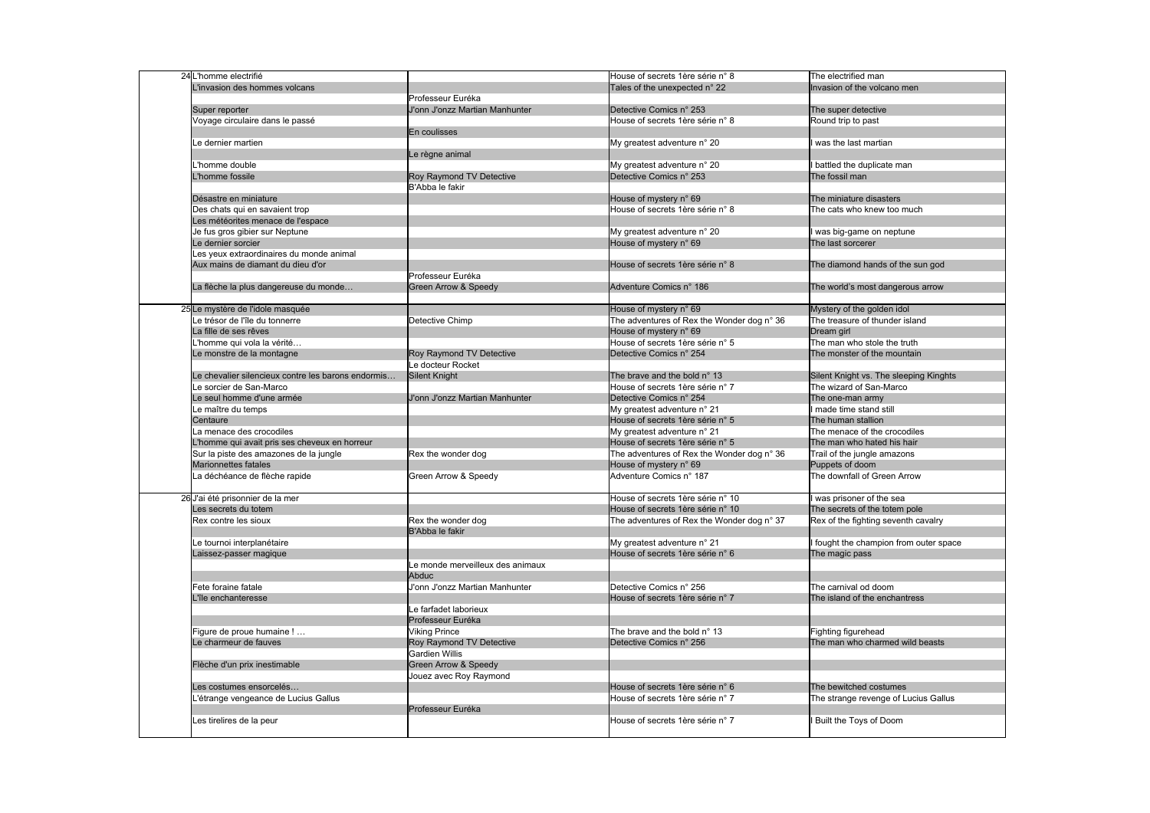| 24 L'homme electrifié                              |                                  | House of secrets 1ère série n° 8           | The electrified man                    |
|----------------------------------------------------|----------------------------------|--------------------------------------------|----------------------------------------|
| linvasion des hommes volcans                       |                                  | Tales of the unexpected n° 22              | Invasion of the volcano men            |
|                                                    | Professeur Euréka                |                                            |                                        |
| Super reporter                                     | U'onn J'onzz Martian Manhunter   | Detective Comics n° 253                    | The super detective                    |
| Voyage circulaire dans le passé                    |                                  | House of secrets 1ère série n° 8           | Round trip to past                     |
|                                                    | En coulisses                     |                                            |                                        |
| Le dernier martien                                 |                                  | My greatest adventure n° 20                | I was the last martian                 |
|                                                    | Le règne animal                  |                                            |                                        |
| homme double                                       |                                  | My greatest adventure n° 20                | I battled the duplicate man            |
| homme fossile                                      | Roy Raymond TV Detective         | Detective Comics n° 253                    | The fossil man                         |
|                                                    | B'Abba le fakir                  |                                            |                                        |
| Désastre en miniature                              |                                  | House of mystery n° 69                     | The miniature disasters                |
| Des chats qui en savaient trop                     |                                  | House of secrets 1ère série n° 8           | The cats who knew too much             |
| Les météorites menace de l'espace                  |                                  |                                            |                                        |
| Je fus gros gibier sur Neptune                     |                                  | My greatest adventure n° 20                | I was big-game on neptune              |
| Le dernier sorcier                                 |                                  | House of mystery n° 69                     | The last sorcerer                      |
| Les yeux extraordinaires du monde animal           |                                  |                                            |                                        |
| Aux mains de diamant du dieu d'or                  |                                  | House of secrets 1ère série n° 8           | The diamond hands of the sun god       |
|                                                    | Professeur Euréka                |                                            |                                        |
| La flèche la plus dangereuse du monde              | Green Arrow & Speedy             | Adventure Comics n° 186                    | The world's most dangerous arrow       |
|                                                    |                                  |                                            |                                        |
| 25 Le mystère de l'idole masquée                   |                                  | House of mystery n° 69                     | Mystery of the golden idol             |
| Le trésor de l'île du tonnerre                     | Detective Chimp                  | The adventures of Rex the Wonder dog n° 36 | The treasure of thunder island         |
| La fille de ses rêves                              |                                  | House of mystery n° 69                     | Dream girl                             |
| L'homme qui vola la vérité                         |                                  | House of secrets 1ère série n° 5           | The man who stole the truth            |
| Le monstre de la montagne                          | Roy Raymond TV Detective         | Detective Comics n° 254                    | The monster of the mountain            |
|                                                    | Le docteur Rocket                |                                            |                                        |
| Le chevalier silencieux contre les barons endormis | Silent Knight                    | The brave and the bold n° 13               | Silent Knight vs. The sleeping Kinghts |
| Le sorcier de San-Marco                            |                                  | House of secrets 1ère série n° 7           | The wizard of San-Marco                |
| Le seul homme d'une armée                          | J'onn J'onzz Martian Manhunter   | Detective Comics n° 254                    | The one-man army                       |
| Le maître du temps                                 |                                  | My greatest adventure n° 21                | I made time stand still                |
| Centaure                                           |                                  | House of secrets 1ère série n° 5           | The human stallion                     |
| La menace des crocodiles                           |                                  | My greatest adventure n° 21                | The menace of the crocodiles           |
| L'homme qui avait pris ses cheveux en horreur      |                                  | House of secrets 1ère série n° 5           | The man who hated his hair             |
| Sur la piste des amazones de la jungle             | Rex the wonder dog               | The adventures of Rex the Wonder dog n° 36 | Trail of the jungle amazons            |
| Marionnettes fatales                               |                                  | House of mystery n° 69                     | Puppets of doom                        |
| La déchéance de flèche rapide                      | Green Arrow & Speedy             | Adventure Comics n° 187                    | The downfall of Green Arrow            |
| 26 J'ai été prisonnier de la mer                   |                                  | House of secrets 1ère série n° 10          | I was prisoner of the sea              |
| Les secrets du totem                               |                                  | House of secrets 1ère série n° 10          | The secrets of the totem pole          |
| Rex contre les sioux                               | Rex the wonder dog               | The adventures of Rex the Wonder dog n° 37 | Rex of the fighting seventh cavalry    |
|                                                    | B'Abba le fakir                  |                                            |                                        |
| Le tournoi interplanétaire                         |                                  | My greatest adventure n° 21                | I fought the champion from outer space |
| Laissez-passer magique                             |                                  | House of secrets 1ère série n° 6           | The magic pass                         |
|                                                    | Le monde merveilleux des animaux |                                            |                                        |
|                                                    | Abduc                            |                                            |                                        |
| Fete foraine fatale                                | J'onn J'onzz Martian Manhunter   | Detective Comics n° 256                    | The carnival od doom                   |
| L'île enchanteresse                                |                                  | House of secrets 1ère série n° 7           | The island of the enchantress          |
|                                                    | Le farfadet laborieux            |                                            |                                        |
|                                                    | Professeur Euréka                |                                            |                                        |
| Figure de proue humaine !                          | <b>Viking Prince</b>             | The brave and the bold n° 13               | Fighting figurehead                    |
| Le charmeur de fauves                              | Roy Raymond TV Detective         | Detective Comics n° 256                    | The man who charmed wild beasts        |
|                                                    | <b>Gardien Willis</b>            |                                            |                                        |
| Flèche d'un prix inestimable                       | Green Arrow & Speedy             |                                            |                                        |
|                                                    | Jouez avec Roy Raymond           |                                            |                                        |
| Les costumes ensorcelés                            |                                  | House of secrets 1ère série n° 6           | The bewitched costumes                 |
| -'étrange vengeance de Lucius Gallus               |                                  | House of secrets 1ère série n° 7           | The strange revenge of Lucius Gallus   |
|                                                    | Professeur Euréka                |                                            |                                        |
|                                                    |                                  |                                            | <b>Built the Toys of Doom</b>          |
| Les tirelires de la peur                           |                                  | House of secrets 1ère série n° 7           |                                        |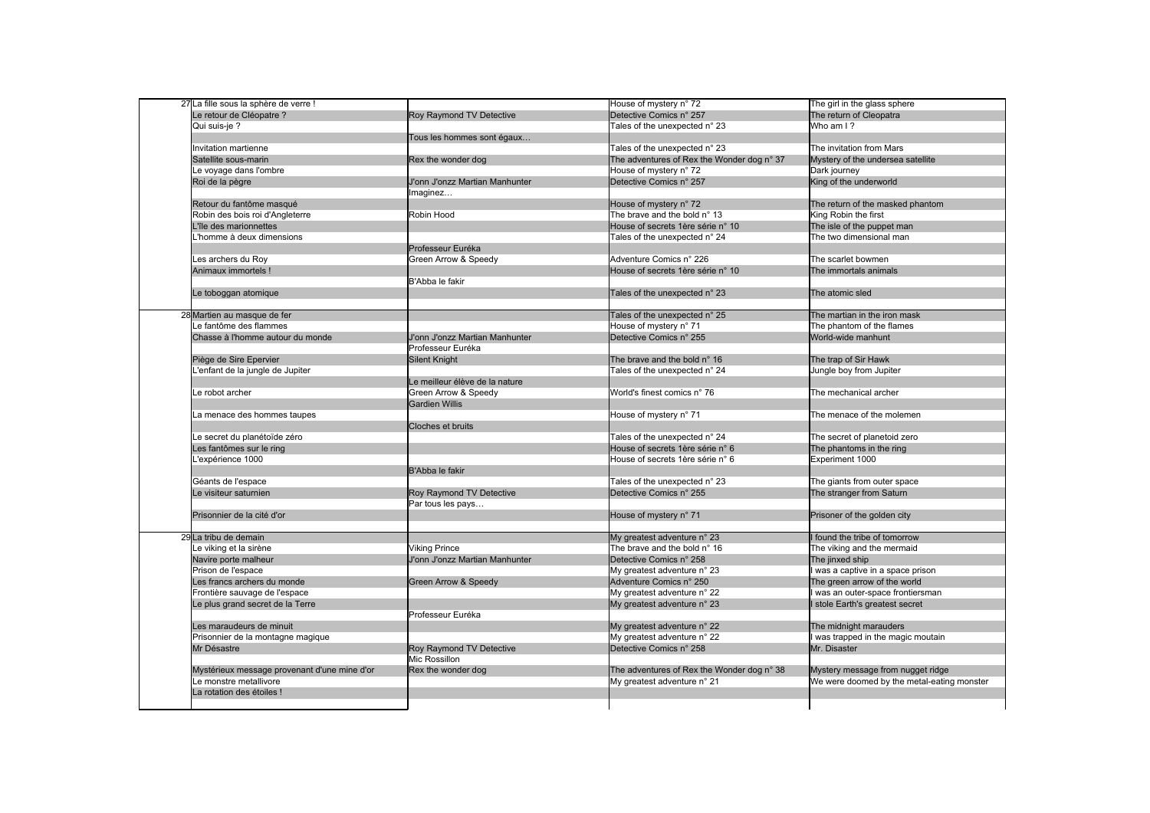| 27 La fille sous la sphère de verre !        |                                | House of mystery n° 72                     | The girl in the glass sphere               |
|----------------------------------------------|--------------------------------|--------------------------------------------|--------------------------------------------|
| Le retour de Cléopatre ?                     | Roy Raymond TV Detective       | Detective Comics n° 257                    | The return of Cleopatra                    |
| Qui suis-je ?                                |                                | Tales of the unexpected n° 23              | Who am I?                                  |
|                                              | Tous les hommes sont égaux     |                                            |                                            |
| Invitation martienne                         |                                | Tales of the unexpected n° 23              | The invitation from Mars                   |
| Satellite sous-marin                         | Rex the wonder dog             | The adventures of Rex the Wonder dog n° 37 | Mystery of the undersea satellite          |
| Le voyage dans l'ombre                       |                                | House of mystery n° 72                     | Dark journey                               |
| Roi de la pègre                              | J'onn J'onzz Martian Manhunter | Detective Comics n° 257                    | King of the underworld                     |
|                                              | Imaginez                       |                                            |                                            |
| Retour du fantôme masqué                     |                                | House of mystery n° 72                     | The return of the masked phantom           |
| Robin des bois roi d'Angleterre              | Robin Hood                     | The brave and the bold n° 13               | King Robin the first                       |
| L'île des marionnettes                       |                                | House of secrets 1ère série n° 10          | The isle of the puppet man                 |
| L'homme à deux dimensions                    |                                | Tales of the unexpected n° 24              | The two dimensional man                    |
|                                              | Professeur Euréka              |                                            |                                            |
| Les archers du Roy                           | Green Arrow & Speedy           | Adventure Comics n° 226                    | The scarlet bowmen                         |
| Animaux immortels !                          |                                | House of secrets 1ère série n° 10          | The immortals animals                      |
|                                              | B'Abba le fakir                |                                            |                                            |
|                                              |                                | Tales of the unexpected n° 23              | The atomic sled                            |
| Le toboggan atomique                         |                                |                                            |                                            |
| 28 Martien au masque de fer                  |                                | Tales of the unexpected n° 25              | The martian in the iron mask               |
| Le fantôme des flammes                       |                                | House of mystery n° 71                     | The phantom of the flames                  |
| Chasse à l'homme autour du monde             | J'onn J'onzz Martian Manhunter | Detective Comics n° 255                    | World-wide manhunt                         |
|                                              | Professeur Euréka              |                                            |                                            |
|                                              |                                | The brave and the bold n° 16               |                                            |
| Piège de Sire Epervier                       | Silent Knight                  |                                            | The trap of Sir Hawk                       |
| -'enfant de la jungle de Jupiter             |                                | Tales of the unexpected n° 24              | Jungle boy from Jupiter                    |
|                                              | Le meilleur élève de la nature |                                            |                                            |
| Le robot archer                              | Green Arrow & Speedy           | World's finest comics n° 76                | The mechanical archer                      |
|                                              | <b>Gardien Willis</b>          |                                            |                                            |
| La menace des hommes taupes                  |                                | House of mystery n° 71                     | The menace of the molemen                  |
|                                              | <b>Cloches et bruits</b>       |                                            |                                            |
| Le secret du planétoïde zéro                 |                                | Tales of the unexpected n° 24              | The secret of planetoid zero               |
| es fantômes sur le ring                      |                                | House of secrets 1ère série n° 6           | The phantoms in the ring                   |
| 'expérience 1000                             |                                | House of secrets 1ère série n° 6           | Experiment 1000                            |
|                                              | <b>B'Abba le fakir</b>         |                                            |                                            |
| Géants de l'espace                           |                                | Tales of the unexpected n° 23              | The giants from outer space                |
| Le visiteur saturnien                        | Roy Raymond TV Detective       | Detective Comics n° 255                    | The stranger from Saturn                   |
|                                              | Par tous les pays              |                                            |                                            |
| Prisonnier de la cité d'or                   |                                | House of mystery n° 71                     | Prisoner of the golden city                |
|                                              |                                |                                            |                                            |
| 29 La tribu de demain                        |                                | My greatest adventure n° 23                | I found the tribe of tomorrow              |
| Le viking et la sirène                       | <b>Viking Prince</b>           | The brave and the bold n° 16               | The viking and the mermaid                 |
| Navire porte malheur                         | J'onn J'onzz Martian Manhunter | Detective Comics n° 258                    | The jinxed ship                            |
| Prison de l'espace                           |                                | My greatest adventure n° 23                | was a captive in a space prison            |
| Les francs archers du monde                  | Green Arrow & Speedy           | Adventure Comics n° 250                    | The green arrow of the world               |
| Frontière sauvage de l'espace                |                                | My greatest adventure n° 22                | was an outer-space frontiersman            |
|                                              |                                |                                            | I stole Earth's greatest secret            |
| Le plus grand secret de la Terre             | Professeur Euréka              | My greatest adventure n° 23                |                                            |
|                                              |                                |                                            |                                            |
| Les maraudeurs de minuit                     |                                | My greatest adventure n° 22                | The midnight marauders                     |
| Prisonnier de la montagne magique            |                                | My greatest adventure n° 22                | I was trapped in the magic moutain         |
| Mr Désastre                                  | Roy Raymond TV Detective       | Detective Comics n° 258                    | Mr. Disaster                               |
|                                              | Mic Rossillon                  |                                            |                                            |
| Mystérieux message provenant d'une mine d'or | Rex the wonder dog             | The adventures of Rex the Wonder dog n° 38 | Mystery message from nugget ridge          |
| Le monstre metallivore                       |                                | My greatest adventure n° 21                | We were doomed by the metal-eating monster |
| La rotation des étoiles !                    |                                |                                            |                                            |
|                                              |                                |                                            |                                            |
|                                              |                                |                                            |                                            |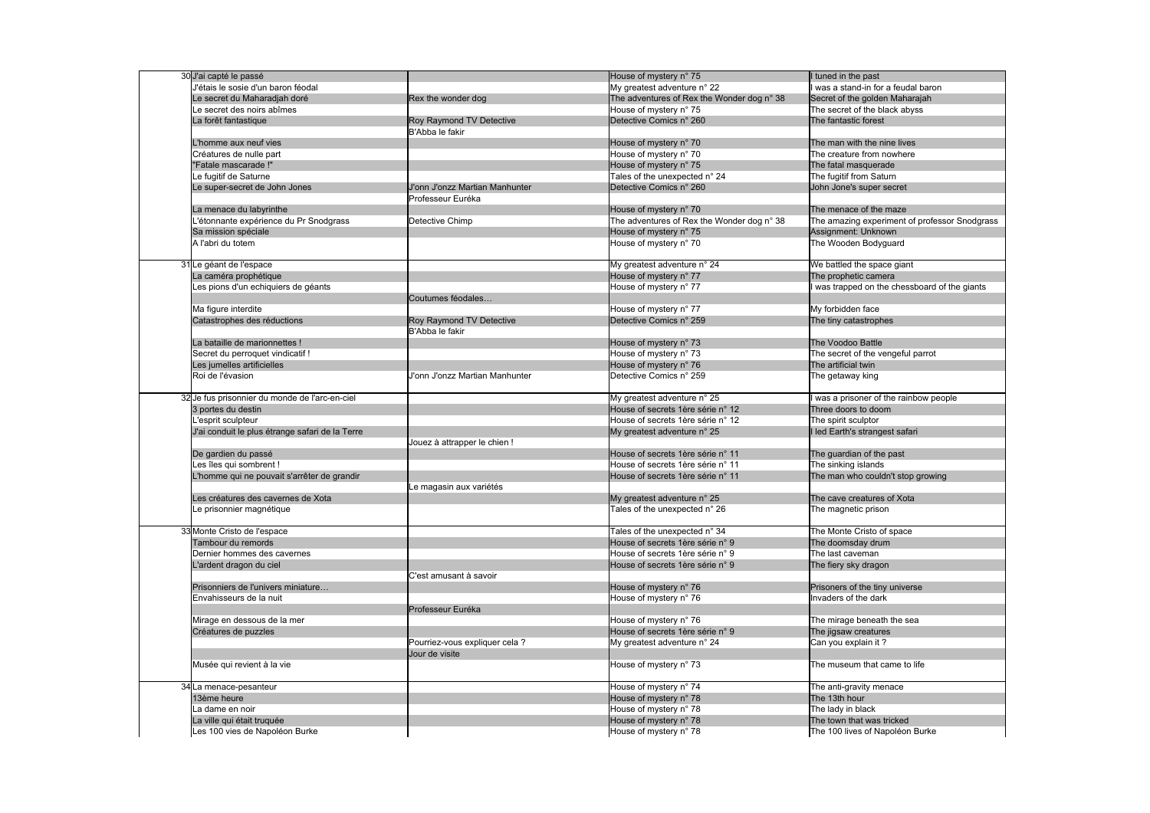| 30 J'ai capté le passé                          |                                | House of mystery n° 75                     | I tuned in the past                           |
|-------------------------------------------------|--------------------------------|--------------------------------------------|-----------------------------------------------|
| J'étais le sosie d'un baron féodal              |                                | My greatest adventure n° 22                | was a stand-in for a feudal baron             |
| e secret du Maharadjah doré                     | Rex the wonder dog             | The adventures of Rex the Wonder dog n° 38 | Secret of the golden Maharajah                |
| Le secret des noirs abîmes                      |                                | House of mystery n° 75                     | The secret of the black abyss                 |
| La forêt fantastique                            | Roy Raymond TV Detective       | Detective Comics n° 260                    | The fantastic forest                          |
|                                                 | B'Abba le fakir                |                                            |                                               |
| homme aux neuf vies                             |                                | House of mystery n° 70                     | The man with the nine lives                   |
| Créatures de nulle part                         |                                | House of mystery n° 70                     | The creature from nowhere                     |
| "Fatale mascarade!"                             |                                | House of mystery n° 75                     | The fatal masquerade                          |
| e fugitif de Saturne                            |                                | Tales of the unexpected n° 24              | The fugitif from Saturn                       |
| Le super-secret de John Jones                   | J'onn J'onzz Martian Manhunter | Detective Comics n° 260                    | John Jone's super secret                      |
|                                                 | Professeur Euréka              |                                            |                                               |
| La menace du labyrinthe                         |                                | House of mystery n° 70                     | The menace of the maze                        |
| 'étonnante expérience du Pr Snodgrass           | Detective Chimp                | The adventures of Rex the Wonder dog n° 38 | The amazing experiment of professor Snodgrass |
| Sa mission spéciale                             |                                | House of mystery n° 75                     | Assignment: Unknown                           |
| A l'abri du totem                               |                                | House of mystery n° 70                     | The Wooden Bodyguard                          |
|                                                 |                                |                                            |                                               |
| 31 Le géant de l'espace                         |                                | My greatest adventure n° 24                | We battled the space giant                    |
| La caméra prophétique                           |                                | House of mystery n° 77                     | The prophetic camera                          |
| es pions d'un echiquiers de géants              |                                | House of mystery n° 77                     | was trapped on the chessboard of the giants   |
|                                                 | Coutumes féodales              |                                            |                                               |
| Ma figure interdite                             |                                | House of mystery n° 77                     | My forbidden face                             |
| Catastrophes des réductions                     | Roy Raymond TV Detective       | Detective Comics n° 259                    | The tiny catastrophes                         |
|                                                 | B'Abba le fakir                |                                            |                                               |
| La bataille de marionnettes!                    |                                | House of mystery n° 73                     | The Voodoo Battle                             |
| Secret du perroquet vindicatif !                |                                | House of mystery n° 73                     | The secret of the vengeful parrot             |
| es jumelles artificielles                       |                                | House of mystery n° 76                     | The artificial twin                           |
| Roi de l'évasion                                | J'onn J'onzz Martian Manhunter | Detective Comics n° 259                    |                                               |
|                                                 |                                |                                            | The getaway king                              |
| 32 Je fus prisonnier du monde de l'arc-en-ciel  |                                | My greatest adventure n° 25                | was a prisoner of the rainbow people          |
| 3 portes du destin                              |                                | House of secrets 1ère série n° 12          | Three doors to doom                           |
| 'esprit sculpteur                               |                                | House of secrets 1ère série n° 12          | The spirit sculptor                           |
| J'ai conduit le plus étrange safari de la Terre |                                | My greatest adventure n° 25                | I led Earth's strangest safari                |
|                                                 | Jouez à attrapper le chien !   |                                            |                                               |
| De gardien du passé                             |                                | House of secrets 1ère série n° 11          | The guardian of the past                      |
| es îles qui sombrent !                          |                                | House of secrets 1ère série n° 11          | The sinking islands                           |
| homme qui ne pouvait s'arrêter de grandir       |                                | House of secrets 1ère série n° 11          | The man who couldn't stop growing             |
|                                                 | Le magasin aux variétés        |                                            |                                               |
| es créatures des cavernes de Xota               |                                | My greatest adventure n° 25                | The cave creatures of Xota                    |
| Le prisonnier magnétique                        |                                | Tales of the unexpected n° 26              | The magnetic prison                           |
|                                                 |                                |                                            |                                               |
| 33 Monte Cristo de l'espace                     |                                | Tales of the unexpected n° 34              | The Monte Cristo of space                     |
| Tambour du remords                              |                                | House of secrets 1ère série n° 9           | The doomsday drum                             |
| Dernier hommes des cavernes                     |                                | House of secrets 1ère série n° 9           | The last caveman                              |
| ardent dragon du ciel                           |                                | House of secrets 1ère série n° 9           | The fiery sky dragon                          |
|                                                 | C'est amusant à savoir         |                                            |                                               |
| Prisonniers de l'univers miniature              |                                | House of mystery n° 76                     | Prisoners of the tiny universe                |
| Envahisseurs de la nuit                         |                                |                                            | Invaders of the dark                          |
|                                                 |                                | House of mystery n° 76                     |                                               |
|                                                 | Professeur Euréka              |                                            |                                               |
| Mirage en dessous de la mer                     |                                | House of mystery n° 76                     | The mirage beneath the sea                    |
| Créatures de puzzles                            |                                | House of secrets 1ère série n° 9           | The jigsaw creatures                          |
|                                                 | Pourriez-vous expliquer cela ? | My greatest adventure n° 24                | Can you explain it?                           |
|                                                 | Jour de visite                 |                                            |                                               |
| Musée qui revient à la vie                      |                                | House of mystery n° 73                     | The museum that came to life                  |
| 34 La menace-pesanteur                          |                                | House of mystery n° 74                     |                                               |
|                                                 |                                |                                            | The anti-gravity menace                       |
| 13ème heure                                     |                                | House of mystery n° 78                     | The 13th hour                                 |
| a dame en noir                                  |                                | House of mystery n° 78                     | The lady in black                             |
| La ville qui était truquée                      |                                | House of mystery n° 78                     | The town that was tricked                     |
| Les 100 vies de Napoléon Burke                  |                                | House of mystery n° 78                     | The 100 lives of Napoléon Burke               |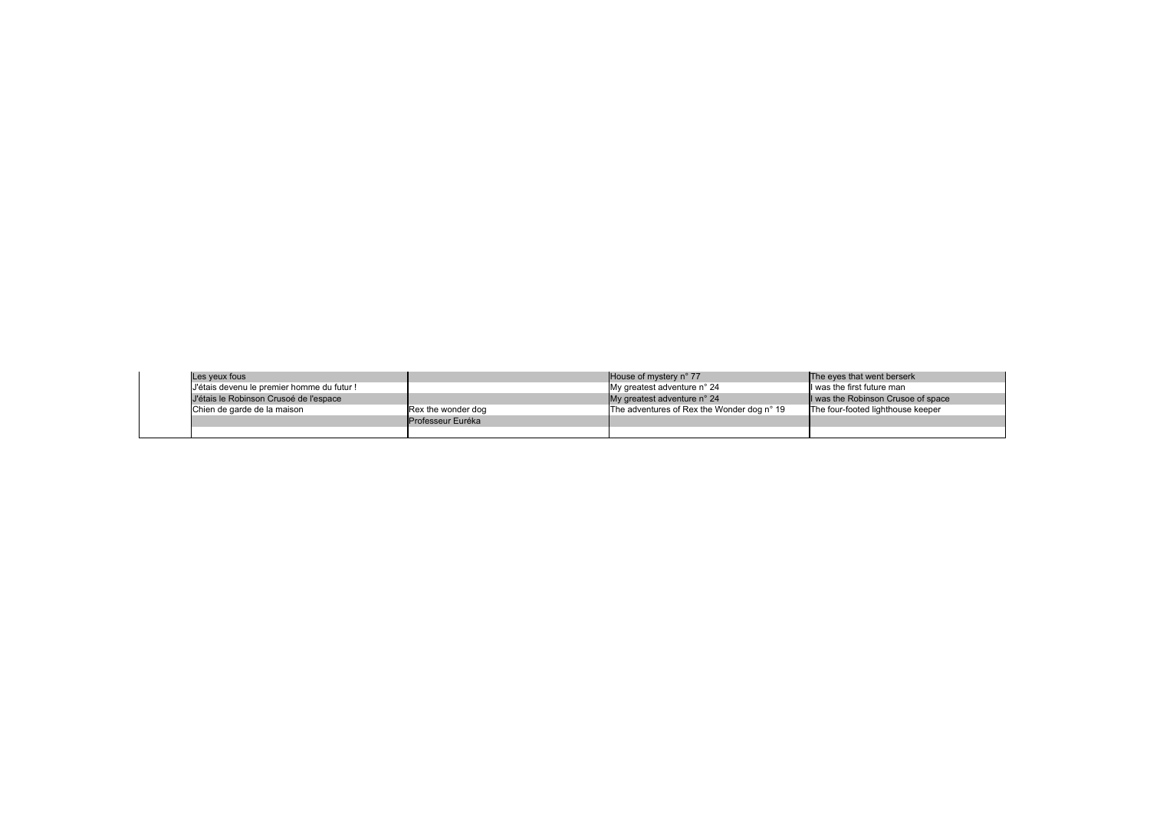| Les yeux fous                              |                          | House of mystery $n^{\circ}$ 77            | The eyes that went berserk        |
|--------------------------------------------|--------------------------|--------------------------------------------|-----------------------------------|
| J'étais devenu le premier homme du futur ! |                          | My greatest adventure n° 24                | I was the first future man        |
| J'étais le Robinson Crusoé de l'espace     |                          | My greatest adventure $n^{\circ}$ 24       | I was the Robinson Crusoe of spa  |
| Chien de garde de la maison                | Rex the wonder dog       | The adventures of Rex the Wonder dog n° 19 | The four-footed lighthouse keeper |
|                                            | <b>Professeur Euréka</b> |                                            |                                   |
|                                            |                          |                                            |                                   |

 $s$ on Crusoe of space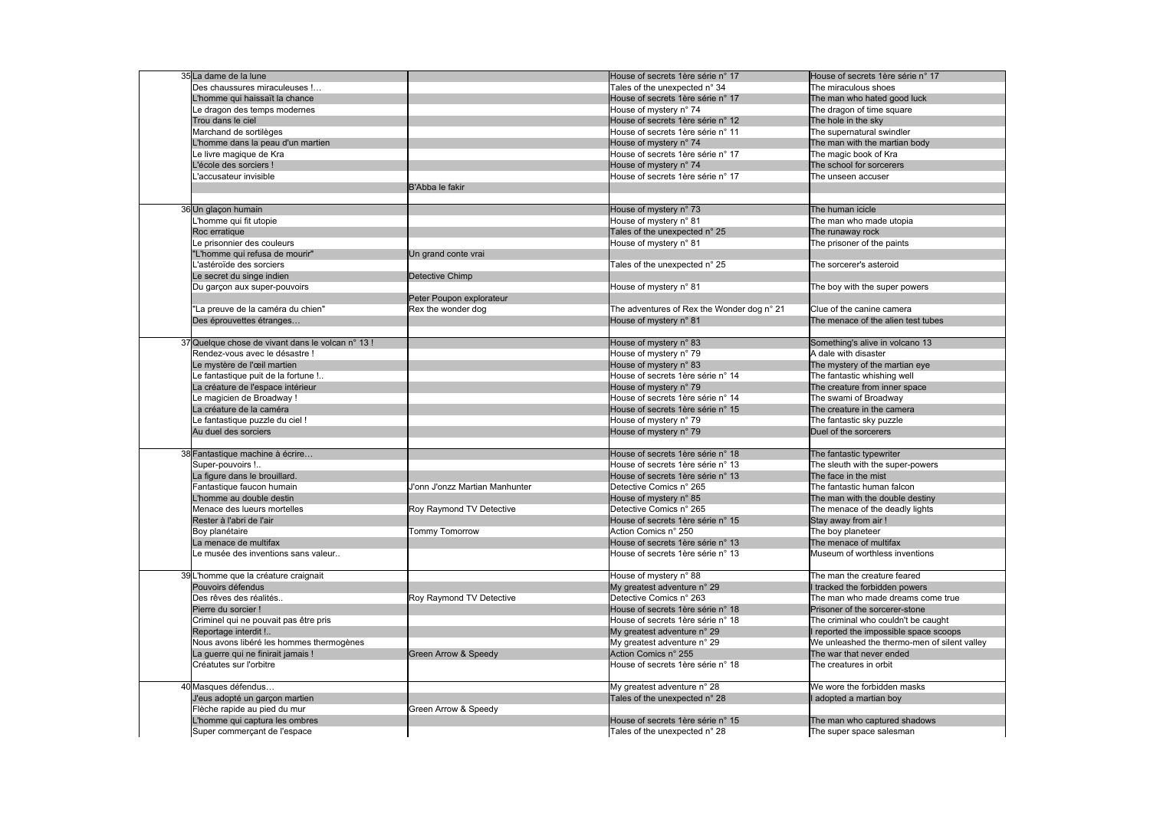| 35 La dame de la lune                             |                                 | House of secrets 1ère série n° 17          | House of secrets 1ère série n° 17            |
|---------------------------------------------------|---------------------------------|--------------------------------------------|----------------------------------------------|
| Des chaussures miraculeuses !                     |                                 | Tales of the unexpected n° 34              | The miraculous shoes                         |
| L'homme qui haissaït la chance                    |                                 | House of secrets 1ère série n° 17          | The man who hated good luck                  |
| Le dragon des temps modernes                      |                                 | House of mystery n° 74                     | The dragon of time square                    |
| Trou dans le ciel                                 |                                 | House of secrets 1ère série n° 12          | The hole in the sky                          |
| Marchand de sortilèges                            |                                 | House of secrets 1ère série n° 11          | The supernatural swindler                    |
|                                                   |                                 |                                            |                                              |
| homme dans la peau d'un martien                   |                                 | House of mystery n° 74                     | The man with the martian body                |
| Le livre magique de Kra                           |                                 | House of secrets 1ère série n° 17          | The magic book of Kra                        |
| lécole des sorciers!                              |                                 | House of mystery n° 74                     | The school for sorcerers                     |
| 'accusateur invisible                             |                                 | House of secrets 1ère série n° 17          | The unseen accuser                           |
|                                                   | B'Abba le fakir                 |                                            |                                              |
|                                                   |                                 |                                            |                                              |
| 36 Un glaçon humain                               |                                 | House of mystery n° 73                     | The human icicle                             |
| homme qui fit utopie                              |                                 | House of mystery n° 81                     | The man who made utopia                      |
| Roc erratique                                     |                                 | Tales of the unexpected n° 25              | The runaway rock                             |
| Le prisonnier des couleurs                        |                                 | House of mystery n° 81                     | The prisoner of the paints                   |
| "L'homme qui refusa de mourir"                    | Un grand conte vrai             |                                            |                                              |
| 'astéroïde des sorciers                           |                                 | Tales of the unexpected n° 25              | The sorcerer's asteroid                      |
| Le secret du singe indien                         | Detective Chimp                 |                                            |                                              |
|                                                   |                                 |                                            |                                              |
| Du garçon aux super-pouvoirs                      |                                 | House of mystery n° 81                     | The boy with the super powers                |
|                                                   | Peter Poupon explorateur        |                                            |                                              |
| 'La preuve de la caméra du chien"                 | Rex the wonder dog              | The adventures of Rex the Wonder dog n° 21 | Clue of the canine camera                    |
| Des éprouvettes étranges                          |                                 | House of mystery n° 81                     | The menace of the alien test tubes           |
|                                                   |                                 |                                            |                                              |
| 37 Quelque chose de vivant dans le volcan n° 13 ! |                                 | House of mystery n° 83                     | Something's alive in volcano 13              |
| Rendez-vous avec le désastre !                    |                                 | House of mystery n° 79                     | A dale with disaster                         |
| Le mystère de l'œil martien                       |                                 | House of mystery n° 83                     | The mystery of the martian eye               |
| Le fantastique puit de la fortune !               |                                 | House of secrets 1ère série n° 14          | The fantastic whishing well                  |
| La créature de l'espace intérieur                 |                                 | House of mystery n° 79                     | The creature from inner space                |
| Le magicien de Broadway!                          |                                 | House of secrets 1ère série n° 14          | The swami of Broadway                        |
| La créature de la caméra                          |                                 | House of secrets 1ère série n° 15          | The creature in the camera                   |
|                                                   |                                 |                                            |                                              |
| Le fantastique puzzle du ciel !                   |                                 | House of mystery n° 79                     | The fantastic sky puzzle                     |
| Au duel des sorciers                              |                                 | House of mystery n° 79                     | Duel of the sorcerers                        |
|                                                   |                                 |                                            |                                              |
| 38 Fantastique machine à écrire                   |                                 | House of secrets 1ère série n° 18          | The fantastic typewriter                     |
| Super-pouvoirs !                                  |                                 | House of secrets 1ère série n° 13          | The sleuth with the super-powers             |
| La figure dans le brouillard.                     |                                 | House of secrets 1ère série n° 13          | The face in the mist                         |
| Fantastique faucon humain                         | J'onn J'onzz Martian Manhunter  | Detective Comics n° 265                    | The fantastic human falcon                   |
| homme au double destin                            |                                 | House of mystery n° 85                     | The man with the double destiny              |
| Menace des lueurs mortelles                       | Roy Raymond TV Detective        | Detective Comics n° 265                    | The menace of the deadly lights              |
| Rester à l'abri de l'air                          |                                 | House of secrets 1ère série n° 15          | Stay away from air !                         |
| Boy planétaire                                    | Tommy Tomorrow                  | Action Comics n° 250                       | The boy planeteer                            |
| La menace de multifax                             |                                 | House of secrets 1ère série n° 13          | The menace of multifax                       |
|                                                   |                                 |                                            |                                              |
| Le musée des inventions sans valeur               |                                 | House of secrets 1ère série n° 13          | Museum of worthless inventions               |
|                                                   |                                 |                                            |                                              |
| 39L'homme que la créature craignait               |                                 | House of mystery n° 88                     | The man the creature feared                  |
| Pouvoirs défendus                                 |                                 | My greatest adventure n° 29                | I tracked the forbidden powers               |
| Des rêves des réalités                            | Roy Raymond TV Detective        | Detective Comics n° 263                    | The man who made dreams come true            |
| Pierre du sorcier !                               |                                 | House of secrets 1ère série n° 18          | Prisoner of the sorcerer-stone               |
| Criminel qui ne pouvait pas être pris             |                                 | House of secrets 1ère série n° 18          | The criminal who couldn't be caught          |
| Reportage interdit !                              |                                 | My greatest adventure n° 29                | I reported the impossible space scoops       |
| Nous avons libéré les hommes thermogènes          |                                 | My greatest adventure n° 29                | We unleashed the thermo-men of silent valley |
| La guerre qui ne finirait jamais !                | <b>Green Arrow &amp; Speedy</b> | Action Comics n° 255                       | The war that never ended                     |
| Créatutes sur l'orbitre                           |                                 | House of secrets 1ère série n° 18          | The creatures in orbit                       |
|                                                   |                                 |                                            |                                              |
|                                                   |                                 |                                            |                                              |
| 40 Masques défendus                               |                                 | My greatest adventure n° 28                | We wore the forbidden masks                  |
| J'eus adopté un garçon martien                    |                                 | Tales of the unexpected n° 28              | l adopted a martian boy                      |
| Flèche rapide au pied du mur                      | Green Arrow & Speedy            |                                            |                                              |
| L'homme qui captura les ombres                    |                                 | House of secrets 1ère série n° 15          | The man who captured shadows                 |
| Super commerçant de l'espace                      |                                 | Tales of the unexpected n° 28              | The super space salesman                     |
|                                                   |                                 |                                            |                                              |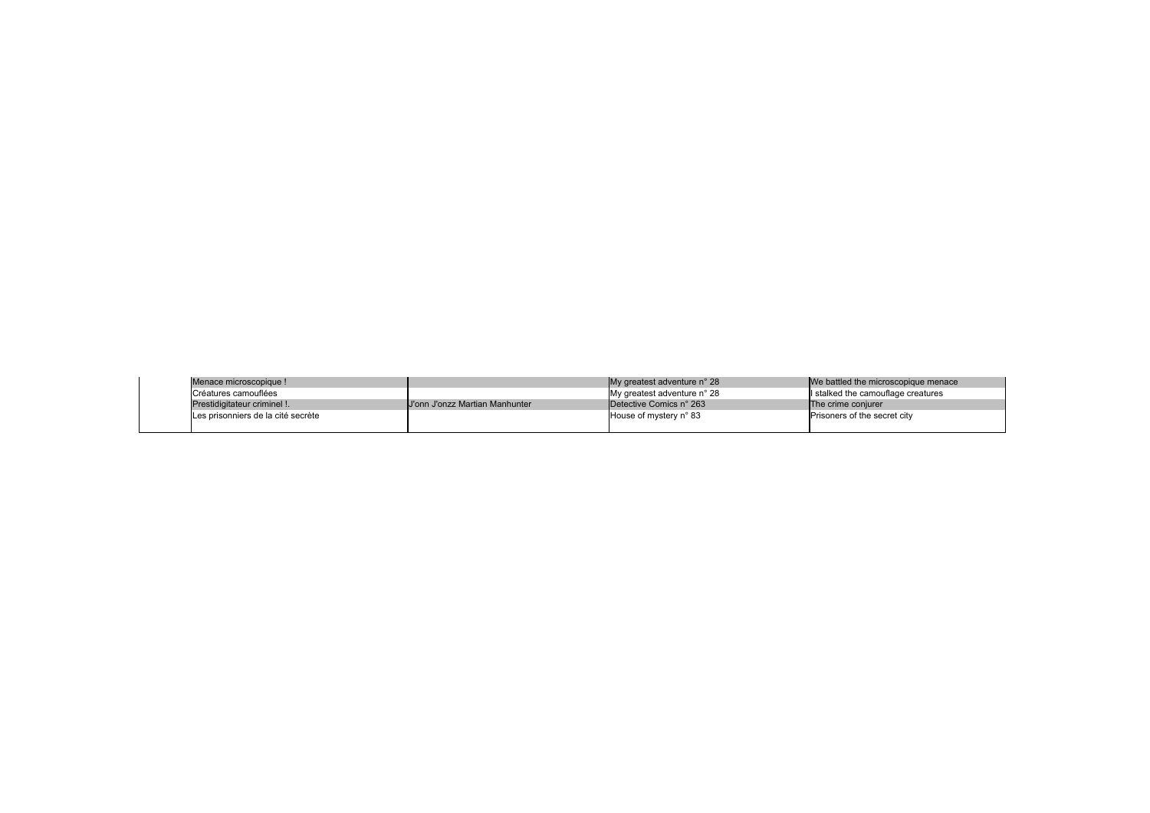| Menace microscopique !             |                                | My greatest adventure n° 28 | We battled the microscopion  |
|------------------------------------|--------------------------------|-----------------------------|------------------------------|
| ICréatures camouflées              |                                | My greatest adventure n° 28 | I stalked the camouflage co  |
| Prestidigitateur criminel !        | U'onn J'onzz Martian Manhunter | Detective Comics n° 263     | <b>The crime conjurer</b>    |
| Les prisonniers de la cité secrète |                                | House of mystery n° 83      | Prisoners of the secret city |
|                                    |                                |                             |                              |

microscopique menace

mouflage creatures<br>urer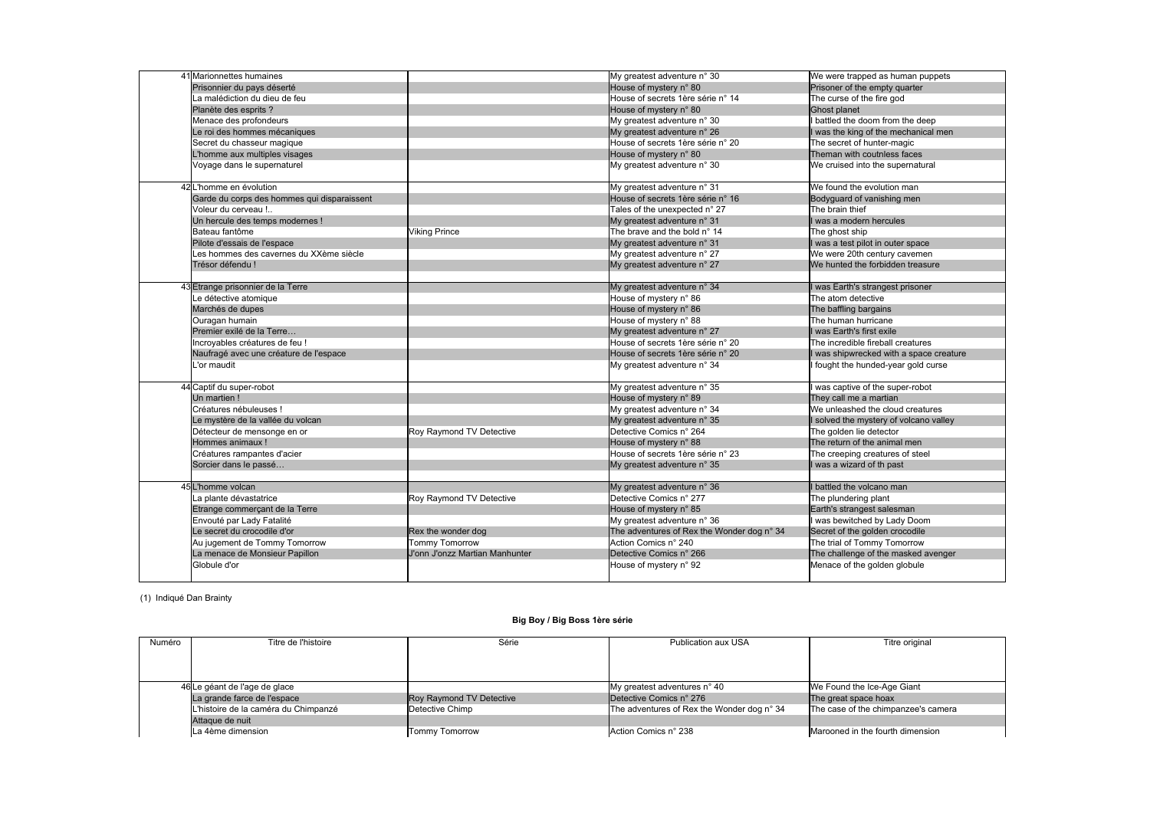| 41 Marionnettes humaines                    |                                 | My greatest adventure n° 30                | We were trapped as human puppets        |
|---------------------------------------------|---------------------------------|--------------------------------------------|-----------------------------------------|
| Prisonnier du pays déserté                  |                                 | House of mystery n° 80                     | Prisoner of the empty quarter           |
| La malédiction du dieu de feu               |                                 | House of secrets 1ère série n° 14          | The curse of the fire god               |
| Planète des esprits ?                       |                                 | House of mystery n° 80                     | Ghost planet                            |
| Menace des profondeurs                      |                                 | My greatest adventure n° 30                | I battled the doom from the deep        |
| Le roi des hommes mécaniques                |                                 | My greatest adventure n° 26                | I was the king of the mechanical men    |
| Secret du chasseur magique                  |                                 | House of secrets 1ère série n° 20          | The secret of hunter-magic              |
| L'homme aux multiples visages               |                                 | House of mystery n° 80                     | Theman with coutnless faces             |
| Voyage dans le supernaturel                 |                                 | My greatest adventure n° 30                | We cruised into the supernatural        |
| 42 L'homme en évolution                     |                                 | My greatest adventure n° 31                | We found the evolution man              |
| Garde du corps des hommes qui disparaissent |                                 | House of secrets 1ère série n° 16          | Bodyguard of vanishing men              |
| Voleur du cerveau !                         |                                 | Tales of the unexpected n° 27              | The brain thief                         |
| Un hercule des temps modernes !             |                                 | My greatest adventure n° 31                | I was a modern hercules                 |
| Bateau fantôme                              | <b>Viking Prince</b>            | The brave and the bold n° 14               | The ghost ship                          |
| Pilote d'essais de l'espace                 |                                 | My greatest adventure n° 31                | I was a test pilot in outer space       |
| es hommes des cavernes du XXème siècle      |                                 | My greatest adventure n° 27                | We were 20th century cavemen            |
| Trésor défendu!                             |                                 | My greatest adventure n° 27                | We hunted the forbidden treasure        |
|                                             |                                 |                                            |                                         |
| 43 Etrange prisonnier de la Terre           |                                 | My greatest adventure n° 34                | I was Earth's strangest prisoner        |
| Le détective atomique                       |                                 | House of mystery n° 86                     | The atom detective                      |
| Marchés de dupes                            |                                 | House of mystery n° 86                     | The baffling bargains                   |
| Ouragan humain                              |                                 | House of mystery n° 88                     | The human hurricane                     |
| Premier exilé de la Terre                   |                                 | My greatest adventure n° 27                | I was Earth's first exile               |
| ncroyables créatures de feu !               |                                 | House of secrets 1ère série n° 20          | The incredible fireball creatures       |
| Naufragé avec une créature de l'espace      |                                 | House of secrets 1ère série n° 20          | I was shipwrecked with a space creature |
| L'or maudit                                 |                                 | My greatest adventure n° 34                | fought the hunded-year gold curse       |
|                                             |                                 |                                            |                                         |
| 44 Captif du super-robot                    |                                 | My greatest adventure n° 35                | was captive of the super-robot          |
| Un martien!                                 |                                 | House of mystery n° 89                     | They call me a martian                  |
| Créatures nébuleuses !                      |                                 | My greatest adventure n° 34                | We unleashed the cloud creatures        |
| Le mystère de la vallée du volcan           |                                 | My greatest adventure n° 35                | I solved the mystery of volcano valley  |
| Détecteur de mensonge en or                 | Roy Raymond TV Detective        | Detective Comics n° 264                    | The golden lie detector                 |
| Hommes animaux!                             |                                 | House of mystery n° 88                     | The return of the animal men            |
| Créatures rampantes d'acier                 |                                 | House of secrets 1ère série n° 23          | The creeping creatures of steel         |
| Sorcier dans le passé                       |                                 | My greatest adventure n° 35                | I was a wizard of th past               |
|                                             |                                 |                                            |                                         |
| 45 L'homme volcan                           |                                 | My greatest adventure n° 36                | I battled the volcano man               |
| La plante dévastatrice                      | <b>Roy Raymond TV Detective</b> | Detective Comics n° 277                    | The plundering plant                    |
| Etrange commerçant de la Terre              |                                 | House of mystery n° 85                     | Earth's strangest salesman              |
| Envouté par Lady Fatalité                   |                                 | My greatest adventure n° 36                | I was bewitched by Lady Doom            |
| Le secret du crocodile d'or                 | Rex the wonder dog              | The adventures of Rex the Wonder dog n° 34 | Secret of the golden crocodile          |
| Au jugement de Tommy Tomorrow               | Tommy Tomorrow                  | Action Comics n° 240                       | The trial of Tommy Tomorrow             |
| La menace de Monsieur Papillon              | J'onn J'onzz Martian Manhunter  | Detective Comics n° 266                    | The challenge of the masked avenger     |
| Globule d'or                                |                                 | House of mystery n° 92                     | Menace of the golden globule            |
|                                             |                                 |                                            |                                         |

(1) Indiqué Dan Brainty

## **Big Boy / Big Boss 1ère série**

| Numéro | Titre de l'histoire                  | Série                    | Publication aux USA                        | Titre original                  |
|--------|--------------------------------------|--------------------------|--------------------------------------------|---------------------------------|
|        |                                      |                          |                                            |                                 |
|        |                                      |                          |                                            |                                 |
|        |                                      |                          |                                            |                                 |
|        | 46 Le géant de l'age de glace        |                          | My greatest adventures n° 40               | We Found the Ice-Age Giant      |
|        | La grande farce de l'espace          | Roy Raymond TV Detective | Detective Comics n° 276                    | The great space hoax            |
|        | L'histoire de la caméra du Chimpanzé | Detective Chimp          | The adventures of Rex the Wonder dog n° 34 | The case of the chimpanzee's o  |
|        | Attaque de nuit                      |                          |                                            |                                 |
|        | La 4ème dimension                    | <b>Tommy Tomorrow</b>    | Action Comics n° 238                       | Marooned in the fourth dimensi- |

| Titre original |
|----------------|
|                |
|                |

L'histoire de Chimpanze de hoax<br>Le chimp The adventures of Chimpanzee's camera

he fourth dimension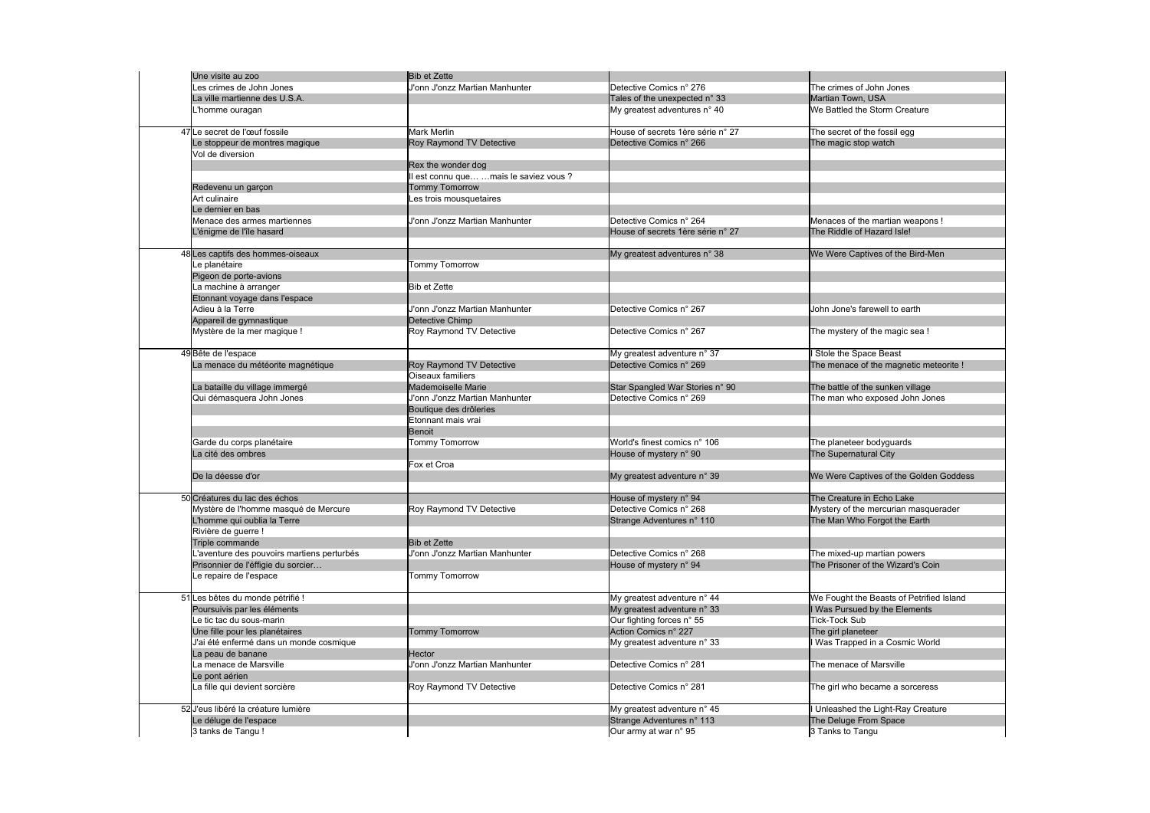| Une visite au zoo                          | <b>Bib et Zette</b>                  |                                   |                                          |
|--------------------------------------------|--------------------------------------|-----------------------------------|------------------------------------------|
| Les crimes de John Jones                   | J'onn J'onzz Martian Manhunter       | Detective Comics n° 276           | The crimes of John Jones                 |
| La ville martienne des U.S.A.              |                                      | Tales of the unexpected n° 33     | Martian Town, USA                        |
| L'homme ouragan                            |                                      | My greatest adventures n° 40      | We Battled the Storm Creature            |
|                                            |                                      |                                   |                                          |
| 47 Le secret de l'œuf fossile              | <b>Mark Merlin</b>                   | House of secrets 1ère série n° 27 | The secret of the fossil egg             |
| Le stoppeur de montres magique             | Roy Raymond TV Detective             | Detective Comics n° 266           | The magic stop watch                     |
| Vol de diversion                           |                                      |                                   |                                          |
|                                            | Rex the wonder dog                   |                                   |                                          |
|                                            | lest connu que mais le saviez vous ? |                                   |                                          |
| Redevenu un garçon                         | <b>Tommy Tomorrow</b>                |                                   |                                          |
| Art culinaire                              | Les trois mousquetaires              |                                   |                                          |
| Le dernier en bas                          |                                      |                                   |                                          |
| Menace des armes martiennes                | J'onn J'onzz Martian Manhunter       | Detective Comics n° 264           | Menaces of the martian weapons!          |
| L'énigme de l'île hasard                   |                                      | House of secrets 1ère série n° 27 | The Riddle of Hazard Isle!               |
|                                            |                                      |                                   |                                          |
| 48 Les captifs des hommes-oiseaux          |                                      | My greatest adventures n° 38      | We Were Captives of the Bird-Men         |
| Le planétaire                              | <b>Tommy Tomorrow</b>                |                                   |                                          |
| Pigeon de porte-avions                     |                                      |                                   |                                          |
| La machine à arranger                      | <b>Bib et Zette</b>                  |                                   |                                          |
| Etonnant voyage dans l'espace              |                                      |                                   |                                          |
| Adieu à la Terre                           | J'onn J'onzz Martian Manhunter       | Detective Comics n° 267           | John Jone's farewell to earth            |
| Appareil de gymnastique                    | Detective Chimp                      |                                   |                                          |
| Mystère de la mer magique !                | Roy Raymond TV Detective             | Detective Comics n° 267           | The mystery of the magic sea !           |
|                                            |                                      |                                   |                                          |
| 49 Bête de l'espace                        |                                      | My greatest adventure n° 37       | Stole the Space Beast                    |
| La menace du météorite magnétique          | Roy Raymond TV Detective             | Detective Comics n° 269           | The menace of the magnetic meteorite !   |
|                                            | Oiseaux familiers                    |                                   |                                          |
| La bataille du village immergé             | Mademoiselle Marie                   | Star Spangled War Stories n° 90   | The battle of the sunken village         |
| Qui démasquera John Jones                  | J'onn J'onzz Martian Manhunter       | Detective Comics n° 269           | The man who exposed John Jones           |
|                                            | Boutique des drôleries               |                                   |                                          |
|                                            | Etonnant mais vrai                   |                                   |                                          |
|                                            | Benoit                               |                                   |                                          |
| Garde du corps planétaire                  | Tommy Tomorrow                       | World's finest comics n° 106      | The planeteer bodyguards                 |
| La cité des ombres                         |                                      | House of mystery n° 90            | The Supernatural City                    |
|                                            | Fox et Croa                          |                                   |                                          |
| De la déesse d'or                          |                                      | My greatest adventure n° 39       | We Were Captives of the Golden Goddess   |
|                                            |                                      |                                   |                                          |
| 50 Créatures du lac des échos              |                                      | House of mystery n° 94            | The Creature in Echo Lake                |
| Mystère de l'homme masqué de Mercure       | Roy Raymond TV Detective             | Detective Comics n° 268           | Mystery of the mercurian masquerader     |
| L'homme qui oublia la Terre                |                                      | Strange Adventures n° 110         | The Man Who Forgot the Earth             |
| Rivière de guerre !                        |                                      |                                   |                                          |
| Triple commande                            | <b>Bib et Zette</b>                  |                                   |                                          |
| L'aventure des pouvoirs martiens perturbés | J'onn J'onzz Martian Manhunter       | Detective Comics n° 268           | The mixed-up martian powers              |
| Prisonnier de l'éffigie du sorcier         |                                      | House of mystery n° 94            | The Prisoner of the Wizard's Coin        |
| Le repaire de l'espace                     | Tommy Tomorrow                       |                                   |                                          |
|                                            |                                      |                                   |                                          |
| 51 Les bêtes du monde pétrifié !           |                                      | My greatest adventure n° 44       | We Fought the Beasts of Petrified Island |
| Poursuivis par les éléments                |                                      | My greatest adventure n° 33       | I Was Pursued by the Elements            |
| Le tic tac du sous-marin                   |                                      | Our fighting forces n° 55         | <b>Tick-Tock Sub</b>                     |
| Une fille pour les planétaires             | <b>Tommy Tomorrow</b>                | Action Comics n° 227              | The girl planeteer                       |
| J'ai été enfermé dans un monde cosmique    |                                      | My greatest adventure n° 33       | Was Trapped in a Cosmic World            |
| La peau de banane                          | <b>IHector</b>                       |                                   |                                          |
| La menace de Marsville                     | J'onn J'onzz Martian Manhunter       | Detective Comics n° 281           | The menace of Marsville                  |
|                                            |                                      |                                   |                                          |
| Le pont aérien                             |                                      |                                   |                                          |
| La fille qui devient sorcière              | Roy Raymond TV Detective             | Detective Comics n° 281           | The girl who became a sorceress          |
|                                            |                                      |                                   |                                          |
| 52 J'eus libéré la créature lumière        |                                      | My greatest adventure n° 45       | Unleashed the Light-Ray Creature         |
| Le déluge de l'espace                      |                                      | Strange Adventures n° 113         | The Deluge From Space                    |
| 3 tanks de Tangu!                          |                                      | Our army at war n° 95             | 3 Tanks to Tangu                         |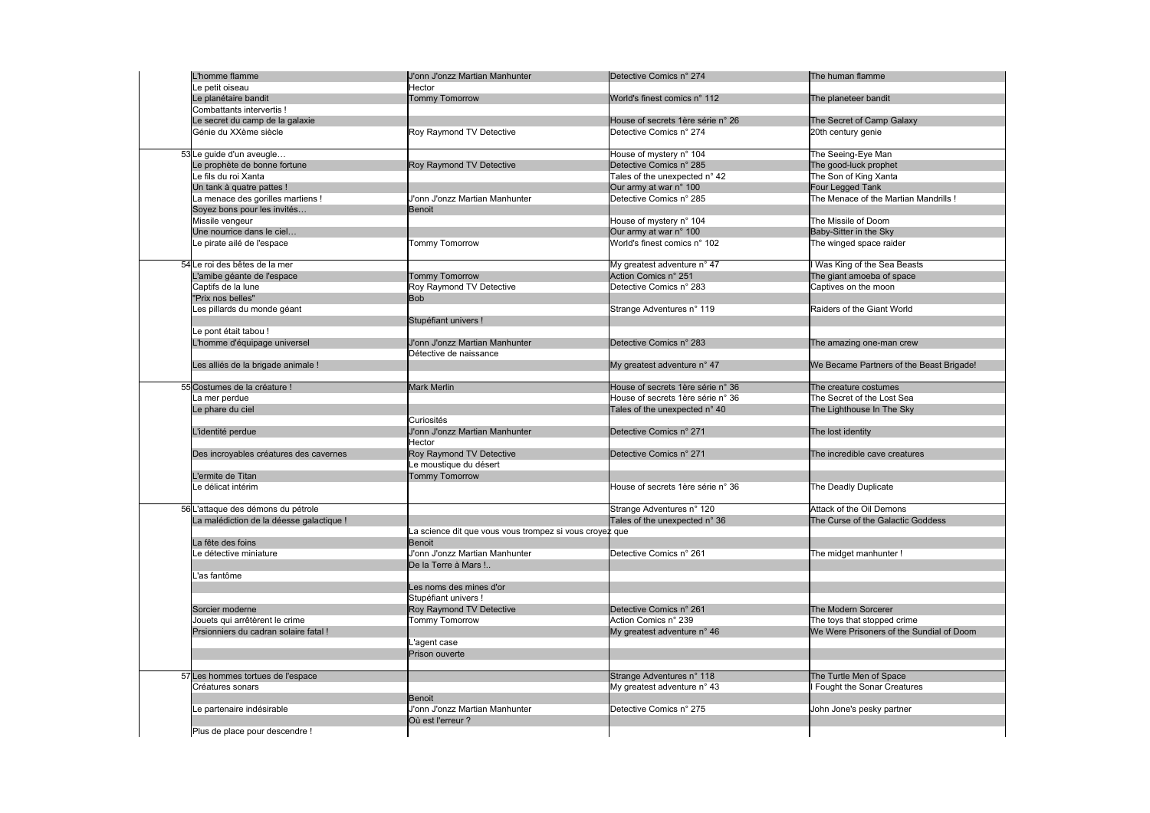| L'homme flamme                           | J'onn J'onzz Martian Manhunter                          | Detective Comics n° 274           | The human flamme                         |
|------------------------------------------|---------------------------------------------------------|-----------------------------------|------------------------------------------|
| Le petit oiseau                          | Hector                                                  |                                   |                                          |
| Le planétaire bandit                     | <b>Tommy Tomorrow</b>                                   | World's finest comics n° 112      | The planeteer bandit                     |
| Combattants intervertis !                |                                                         |                                   |                                          |
| Le secret du camp de la galaxie          |                                                         | House of secrets 1ère série n° 26 | The Secret of Camp Galaxy                |
| Génie du XXème siècle                    | Roy Raymond TV Detective                                | Detective Comics n° 274           | 20th century genie                       |
|                                          |                                                         |                                   |                                          |
| 53 Le guide d'un aveugle                 |                                                         | House of mystery n° 104           | The Seeing-Eye Man                       |
| Le prophète de bonne fortune             | Roy Raymond TV Detective                                | Detective Comics n° 285           | The good-luck prophet                    |
| Le fils du roi Xanta                     |                                                         | Tales of the unexpected n° 42     | The Son of King Xanta                    |
| Un tank à quatre pattes !                |                                                         | Our army at war n° 100            | Four Legged Tank                         |
| La menace des gorilles martiens!         | J'onn J'onzz Martian Manhunter                          | Detective Comics n° 285           | The Menace of the Martian Mandrills!     |
| Soyez bons pour les invités              | Benoit                                                  |                                   |                                          |
| Missile vengeur                          |                                                         | House of mystery n° 104           | The Missile of Doom                      |
| Une nourrice dans le ciel                |                                                         | Our army at war n° 100            | Baby-Sitter in the Sky                   |
| Le pirate ailé de l'espace               | <b>Tommy Tomorrow</b>                                   | World's finest comics n° 102      | The winged space raider                  |
|                                          |                                                         |                                   |                                          |
| 54 Le roi des bêtes de la mer            |                                                         | My greatest adventure n° 47       | I Was King of the Sea Beasts             |
| L'amibe géante de l'espace               | <b>Tommy Tomorrow</b>                                   | Action Comics n° 251              | The giant amoeba of space                |
| Captifs de la lune                       | Roy Raymond TV Detective                                | Detective Comics n° 283           | Captives on the moon                     |
| "Prix nos belles"                        | <b>Bob</b>                                              |                                   |                                          |
| Les pillards du monde géant              |                                                         | Strange Adventures n° 119         | Raiders of the Giant World               |
|                                          | Stupéfiant univers !                                    |                                   |                                          |
| Le pont était tabou !                    |                                                         |                                   |                                          |
| L'homme d'équipage universel             | J'onn J'onzz Martian Manhunter                          | Detective Comics n° 283           | The amazing one-man crew                 |
|                                          | Détective de naissance                                  |                                   |                                          |
| Les alliés de la brigade animale !       |                                                         | My greatest adventure n° 47       | We Became Partners of the Beast Brigade! |
|                                          |                                                         |                                   |                                          |
| 55 Costumes de la créature !             | <b>Mark Merlin</b>                                      | House of secrets 1ère série n° 36 | The creature costumes                    |
| La mer perdue                            |                                                         | House of secrets 1ère série n° 36 | The Secret of the Lost Sea               |
| Le phare du ciel                         |                                                         | Tales of the unexpected n° 40     | The Lighthouse In The Sky                |
|                                          | Curiosités                                              |                                   |                                          |
|                                          |                                                         |                                   |                                          |
| L'identité perdue                        | J'onn J'onzz Martian Manhunter                          | Detective Comics n° 271           | The lost identity                        |
|                                          | Hector                                                  |                                   |                                          |
| Des incroyables créatures des cavernes   | Roy Raymond TV Detective                                | Detective Comics n° 271           | The incredible cave creatures            |
|                                          | Le moustique du désert                                  |                                   |                                          |
| L'ermite de Titan                        | Tommy Tomorrow                                          |                                   |                                          |
| Le délicat intérim                       |                                                         | House of secrets 1ère série n° 36 | The Deadly Duplicate                     |
|                                          |                                                         |                                   |                                          |
| 56 L'attaque des démons du pétrole       |                                                         | Strange Adventures n° 120         | Attack of the Oil Demons                 |
| La malédiction de la déesse galactique ! |                                                         | Tales of the unexpected n° 36     | The Curse of the Galactic Goddess        |
|                                          | La science dit que vous vous trompez si vous croyez que |                                   |                                          |
| La fête des foins                        | Benoit                                                  |                                   |                                          |
| Le détective miniature                   | J'onn J'onzz Martian Manhunter                          | Detective Comics n° 261           | The midget manhunter!                    |
|                                          | De la Terre à Mars !                                    |                                   |                                          |
| 'as fantôme                              |                                                         |                                   |                                          |
|                                          | Les noms des mines d'or                                 |                                   |                                          |
|                                          | Stupéfiant univers !                                    |                                   |                                          |
| Sorcier moderne                          | Roy Raymond TV Detective                                | Detective Comics n° 261           | The Modern Sorcerer                      |
| Jouets qui arrêtèrent le crime           | <b>Tommy Tomorrow</b>                                   | Action Comics n° 239              | The toys that stopped crime              |
| Prsionniers du cadran solaire fatal !    |                                                         | My greatest adventure n° 46       | We Were Prisoners of the Sundial of Doom |
|                                          | L'agent case                                            |                                   |                                          |
|                                          | Prison ouverte                                          |                                   |                                          |
|                                          |                                                         |                                   |                                          |
| 57 Les hommes tortues de l'espace        |                                                         | Strange Adventures n° 118         | The Turtle Men of Space                  |
| Créatures sonars                         |                                                         | My greatest adventure n° 43       | Fought the Sonar Creatures               |
|                                          | Benoit                                                  |                                   |                                          |
| Le partenaire indésirable                | J'onn J'onzz Martian Manhunter                          | Detective Comics n° 275           | John Jone's pesky partner                |
|                                          | Où est l'erreur ?                                       |                                   |                                          |
| Plus de place pour descendre !           |                                                         |                                   |                                          |
|                                          |                                                         |                                   |                                          |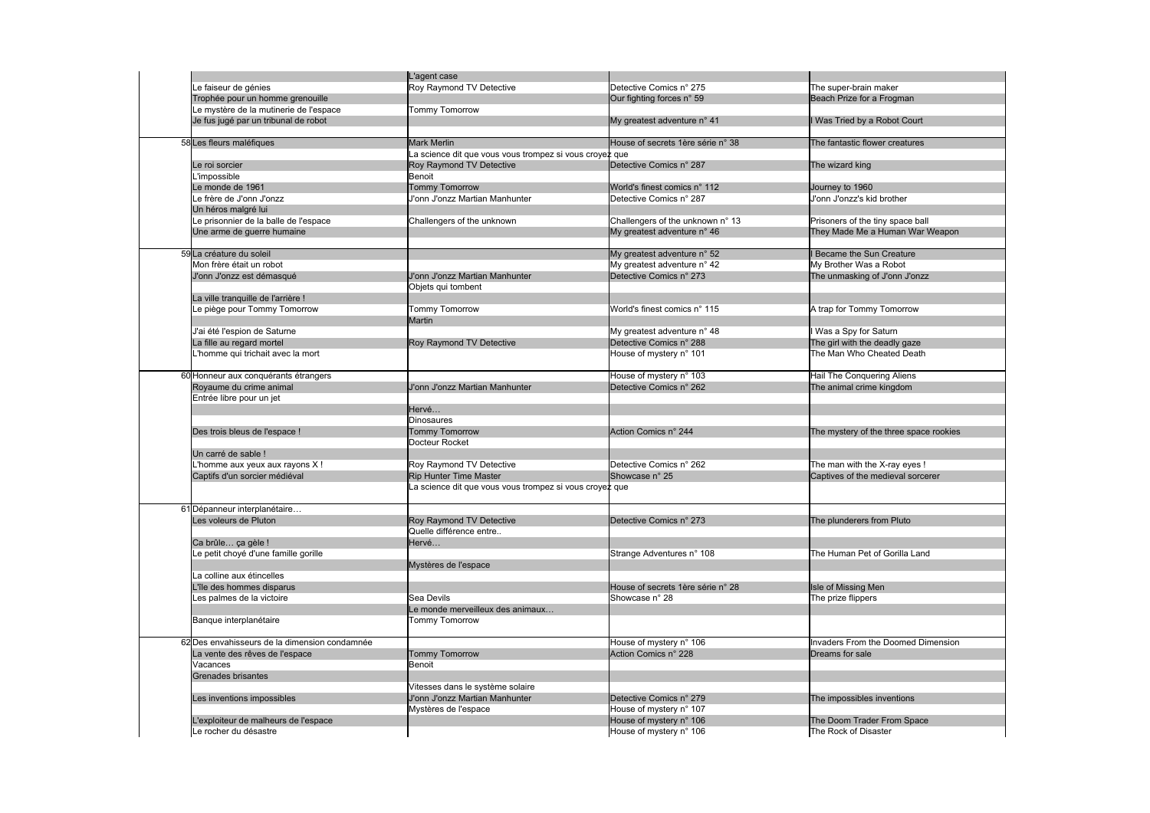|                                               | L'agent case                                            |                                   |                                        |
|-----------------------------------------------|---------------------------------------------------------|-----------------------------------|----------------------------------------|
| Le faiseur de génies                          | Roy Raymond TV Detective                                | Detective Comics n° 275           | The super-brain maker                  |
|                                               |                                                         | Our fighting forces n° 59         |                                        |
| Trophée pour un homme grenouille              |                                                         |                                   | Beach Prize for a Frogman              |
| Le mystère de la mutinerie de l'espace        | Tommy Tomorrow                                          |                                   |                                        |
| Je fus jugé par un tribunal de robot          |                                                         | My greatest adventure n° 41       | I Was Tried by a Robot Court           |
|                                               |                                                         |                                   |                                        |
| 58 Les fleurs maléfiques                      | <b>Mark Merlin</b>                                      | House of secrets 1ère série n° 38 | The fantastic flower creatures         |
|                                               | La science dit que vous vous trompez si vous croyez que |                                   |                                        |
| Le roi sorcier                                | Roy Raymond TV Detective                                | Detective Comics n° 287           | The wizard king                        |
| L'impossible                                  | Benoit                                                  |                                   |                                        |
| Le monde de 1961                              | <b>Tommy Tomorrow</b>                                   | World's finest comics n° 112      | Journey to 1960                        |
| Le frère de J'onn J'onzz                      | J'onn J'onzz Martian Manhunter                          | Detective Comics n° 287           | J'onn J'onzz's kid brother             |
| Un héros malgré lui                           |                                                         |                                   |                                        |
| Le prisonnier de la balle de l'espace         | Challengers of the unknown                              | Challengers of the unknown n° 13  | Prisoners of the tiny space ball       |
| Une arme de guerre humaine                    |                                                         | My greatest adventure n° 46       | They Made Me a Human War Weapon        |
|                                               |                                                         |                                   |                                        |
| 59 La créature du soleil                      |                                                         | My greatest adventure n° 52       | <b>I Became the Sun Creature</b>       |
| Mon frère était un robot                      |                                                         | My greatest adventure n° 42       | My Brother Was a Robot                 |
| J'onn J'onzz est démasqué                     | J'onn J'onzz Martian Manhunter                          | Detective Comics n° 273           | The unmasking of J'onn J'onzz          |
|                                               | Objets qui tombent                                      |                                   |                                        |
| La ville tranquille de l'arrière !            |                                                         |                                   |                                        |
| Le piège pour Tommy Tomorrow                  | <b>Tommy Tomorrow</b>                                   | World's finest comics n° 115      | A trap for Tommy Tomorrow              |
|                                               | <b>Martin</b>                                           |                                   |                                        |
| J'ai été l'espion de Saturne                  |                                                         | My greatest adventure n° 48       | I Was a Spy for Saturn                 |
| La fille au regard mortel                     | Roy Raymond TV Detective                                | Detective Comics n° 288           | The girl with the deadly gaze          |
|                                               |                                                         |                                   | The Man Who Cheated Death              |
| homme qui trichait avec la mort               |                                                         | House of mystery n° 101           |                                        |
|                                               |                                                         |                                   |                                        |
| 60 Honneur aux conquérants étrangers          |                                                         | House of mystery n° 103           | Hail The Conquering Aliens             |
| Royaume du crime animal                       | J'onn J'onzz Martian Manhunter                          | Detective Comics n° 262           | The animal crime kingdom               |
| Entrée libre pour un jet                      |                                                         |                                   |                                        |
|                                               | Hervé                                                   |                                   |                                        |
|                                               | <b>Dinosaures</b>                                       |                                   |                                        |
| Des trois bleus de l'espace !                 | <b>Tommy Tomorrow</b>                                   | Action Comics n° 244              | The mystery of the three space rookies |
|                                               | Docteur Rocket                                          |                                   |                                        |
| Un carré de sable !                           |                                                         |                                   |                                        |
| lhomme aux yeux aux rayons X!                 | Roy Raymond TV Detective                                | Detective Comics n° 262           | The man with the X-ray eyes !          |
| Captifs d'un sorcier médiéval                 | <b>Rip Hunter Time Master</b>                           | Showcase n° 25                    | Captives of the medieval sorcerer      |
|                                               | La science dit que vous vous trompez si vous croyez que |                                   |                                        |
|                                               |                                                         |                                   |                                        |
| 61 Dépanneur interplanétaire                  |                                                         |                                   |                                        |
| Les voleurs de Pluton                         | Roy Raymond TV Detective                                | Detective Comics n° 273           | The plunderers from Pluto              |
|                                               | Quelle différence entre                                 |                                   |                                        |
| Ca brûle ça gèle !                            | Hervé                                                   |                                   |                                        |
| e petit choyé d'une famille gorille           |                                                         | Strange Adventures n° 108         | The Human Pet of Gorilla Land          |
|                                               | Mystères de l'espace                                    |                                   |                                        |
| La colline aux étincelles                     |                                                         |                                   |                                        |
| L'île des hommes disparus                     |                                                         | House of secrets 1ère série n° 28 | Isle of Missing Men                    |
| Les palmes de la victoire                     | Sea Devils                                              | Showcase n° 28                    | The prize flippers                     |
|                                               | Le monde merveilleux des animaux                        |                                   |                                        |
| Banque interplanétaire                        | <b>Tommy Tomorrow</b>                                   |                                   |                                        |
|                                               |                                                         |                                   |                                        |
| 62 Des envahisseurs de la dimension condamnée |                                                         | House of mystery n° 106           | Invaders From the Doomed Dimension     |
|                                               | <b>Tommy Tomorrow</b>                                   | Action Comics n° 228              |                                        |
| La vente des rêves de l'espace                |                                                         |                                   | Dreams for sale                        |
| Vacances                                      | <b>Benoit</b>                                           |                                   |                                        |
| Grenades brisantes                            |                                                         |                                   |                                        |
|                                               | Vitesses dans le système solaire                        |                                   |                                        |
| Les inventions impossibles                    | J'onn J'onzz Martian Manhunter                          | Detective Comics n° 279           | The impossibles inventions             |
|                                               | Mystères de l'espace                                    | House of mystery n° 107           |                                        |
| L'exploiteur de malheurs de l'espace          |                                                         | House of mystery n° 106           | The Doom Trader From Space             |
| Le rocher du désastre                         |                                                         | House of mystery n° 106           | The Rock of Disaster                   |
|                                               |                                                         |                                   |                                        |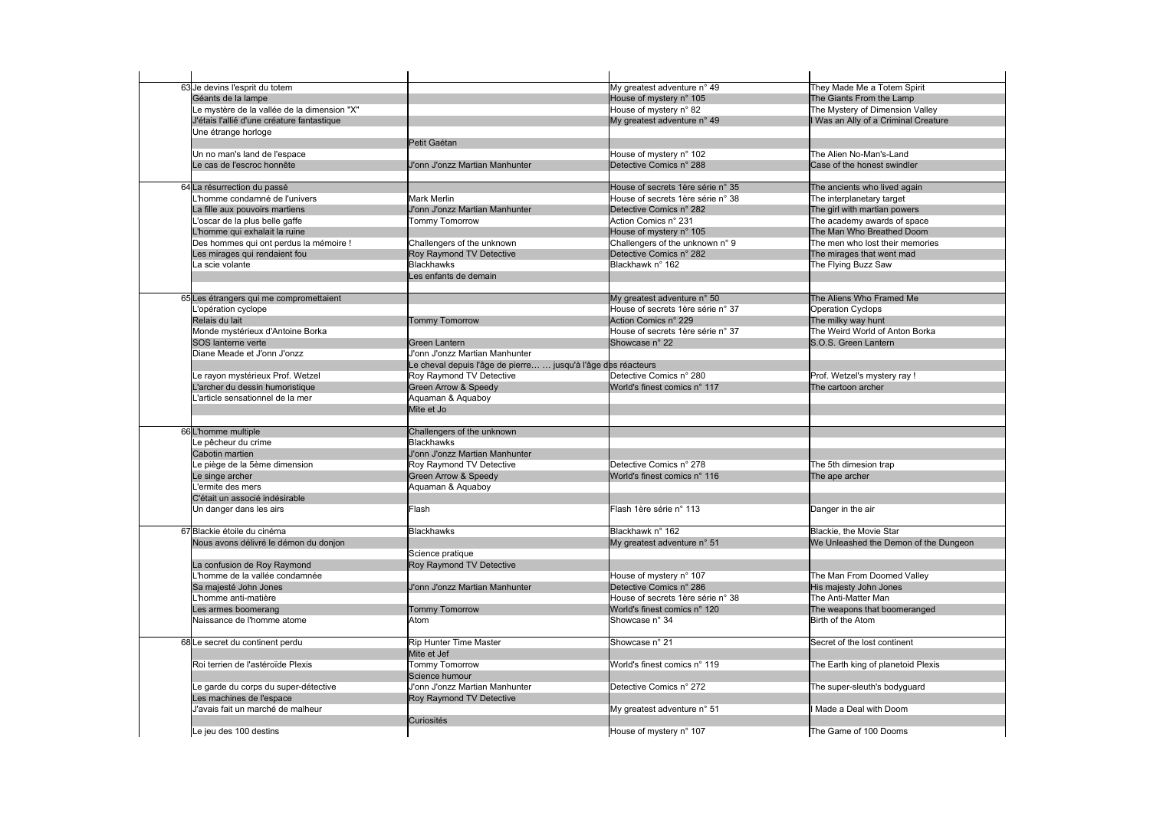| 63 Je devins l'esprit du totem              |                                                               | My greatest adventure n° 49       | They Made Me a Totem Spirit           |
|---------------------------------------------|---------------------------------------------------------------|-----------------------------------|---------------------------------------|
| Géants de la lampe                          |                                                               | House of mystery n° 105           | The Giants From the Lamp              |
| Le mystère de la vallée de la dimension "X" |                                                               | House of mystery n° 82            | The Mystery of Dimension Valley       |
| J'étais l'allié d'une créature fantastique  |                                                               | My greatest adventure n° 49       | I Was an Ally of a Criminal Creature  |
| Une étrange horloge                         |                                                               |                                   |                                       |
|                                             | Petit Gaétan                                                  |                                   |                                       |
| Un no man's land de l'espace                |                                                               | House of mystery n° 102           | The Alien No-Man's-Land               |
| Le cas de l'escroc honnête                  | J'onn J'onzz Martian Manhunter                                | Detective Comics n° 288           | Case of the honest swindler           |
|                                             |                                                               |                                   |                                       |
| 64 La résurrection du passé                 |                                                               | House of secrets 1ère série n° 35 | The ancients who lived again          |
| homme condamné de l'univers                 | <b>Mark Merlin</b>                                            | House of secrets 1ère série n° 38 | The interplanetary target             |
| La fille aux pouvoirs martiens              | J'onn J'onzz Martian Manhunter                                | Detective Comics n° 282           | The girl with martian powers          |
| 'oscar de la plus belle gaffe               | Tommy Tomorrow                                                | Action Comics n° 231              | The academy awards of space           |
| L'homme qui exhalait la ruine               |                                                               | House of mystery n° 105           | The Man Who Breathed Doom             |
| Des hommes qui ont perdus la mémoire !      | Challengers of the unknown                                    | Challengers of the unknown n° 9   | The men who lost their memories       |
| Les mirages qui rendaient fou               | Roy Raymond TV Detective                                      | Detective Comics n° 282           | The mirages that went mad             |
| a scie volante                              | <b>Blackhawks</b>                                             | Blackhawk n° 162                  | The Flying Buzz Saw                   |
|                                             | Les enfants de demain                                         |                                   |                                       |
|                                             |                                                               |                                   |                                       |
| 65 Les étrangers qui me compromettaient     |                                                               | My greatest adventure n° 50       | The Aliens Who Framed Me              |
| opération cyclope                           |                                                               | House of secrets 1ère série n° 37 | <b>Operation Cyclops</b>              |
| Relais du lait                              | <b>Tommy Tomorrow</b>                                         | Action Comics n° 229              | The milky way hunt                    |
| Monde mystérieux d'Antoine Borka            |                                                               | House of secrets 1ère série n° 37 | The Weird World of Anton Borka        |
| SOS lanterne verte                          | <b>Green Lantern</b>                                          | Showcase n° 22                    | S.O.S. Green Lantern                  |
| Diane Meade et J'onn J'onzz                 | J'onn J'onzz Martian Manhunter                                |                                   |                                       |
|                                             | Le cheval depuis l'âge de pierre  jusqu'à l'âge des réacteurs |                                   |                                       |
| e rayon mystérieux Prof. Wetzel             | Roy Raymond TV Detective                                      | Detective Comics n° 280           | Prof. Wetzel's mystery ray !          |
| L'archer du dessin humoristique             | Green Arrow & Speedy                                          | World's finest comics n° 117      | The cartoon archer                    |
| 'article sensationnel de la mer             | Aquaman & Aquaboy                                             |                                   |                                       |
|                                             | Mite et Jo                                                    |                                   |                                       |
|                                             |                                                               |                                   |                                       |
| 66 L'homme multiple                         | Challengers of the unknown                                    |                                   |                                       |
| Le pêcheur du crime                         | <b>Blackhawks</b>                                             |                                   |                                       |
| Cabotin martien                             | J'onn J'onzz Martian Manhunter                                |                                   |                                       |
| Le piège de la 5ème dimension               | Roy Raymond TV Detective                                      | Detective Comics n° 278           | The 5th dimesion trap                 |
| Le singe archer                             | Green Arrow & Speedy                                          | World's finest comics n° 116      | The ape archer                        |
| lermite des mers                            | Aquaman & Aquaboy                                             |                                   |                                       |
| C'était un associé indésirable              |                                                               |                                   |                                       |
| Un danger dans les airs                     | Flash                                                         | Flash 1ère série n° 113           | Danger in the air                     |
| 67 Blackie étoile du cinéma                 | <b>Blackhawks</b>                                             | Blackhawk n° 162                  | Blackie, the Movie Star               |
| Nous avons délivré le démon du donjon       |                                                               | My greatest adventure n° 51       | We Unleashed the Demon of the Dungeon |
|                                             | Science pratique                                              |                                   |                                       |
| La confusion de Roy Raymond                 | Roy Raymond TV Detective                                      |                                   |                                       |
| homme de la vallée condamnée                |                                                               | House of mystery n° 107           | The Man From Doomed Valley            |
| Sa majesté John Jones                       | J'onn J'onzz Martian Manhunter                                | Detective Comics n° 286           | His majesty John Jones                |
| homme anti-matière_                         |                                                               | House of secrets 1ère série n° 38 | The Anti-Matter Man                   |
| Les armes boomerang                         | <b>Tommy Tomorrow</b>                                         | World's finest comics n° 120      | The weapons that boomeranged          |
| Naissance de l'homme atome                  | Atom                                                          | Showcase n° 34                    | Birth of the Atom                     |
|                                             |                                                               |                                   |                                       |
| 68Le secret du continent perdu              | <b>Rip Hunter Time Master</b>                                 | Showcase nº 21                    | Secret of the lost continent          |
|                                             | Mite et Jef                                                   |                                   |                                       |
| Roi terrien de l'astéroïde Plexis           | Tommy Tomorrow                                                | World's finest comics n° 119      | The Earth king of planetoid Plexis    |
|                                             | Science humour                                                |                                   |                                       |
| e garde du corps du super-détective         | J'onn J'onzz Martian Manhunter                                | Detective Comics n° 272           | The super-sleuth's bodyguard          |
| Les machines de l'espace                    | Roy Raymond TV Detective                                      |                                   |                                       |
| J'avais fait un marché de malheur           |                                                               | My greatest adventure n° 51       | I Made a Deal with Doom               |
|                                             | Curiosités                                                    |                                   |                                       |
| Le jeu des 100 destins                      |                                                               | House of mystery n° 107           | The Game of 100 Dooms                 |